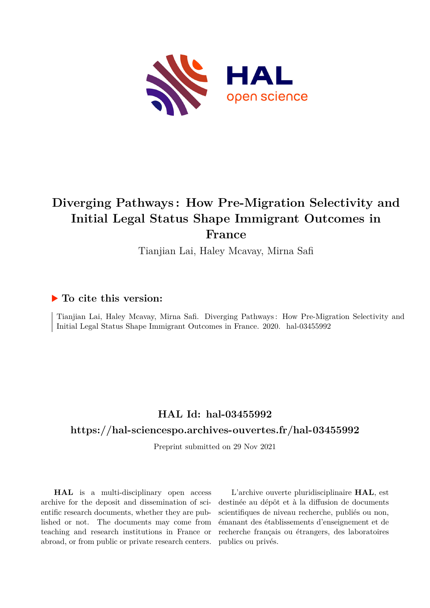

# **Diverging Pathways : How Pre-Migration Selectivity and Initial Legal Status Shape Immigrant Outcomes in France**

Tianjian Lai, Haley Mcavay, Mirna Safi

# **To cite this version:**

Tianjian Lai, Haley Mcavay, Mirna Safi. Diverging Pathways : How Pre-Migration Selectivity and Initial Legal Status Shape Immigrant Outcomes in France. 2020. hal-03455992

# **HAL Id: hal-03455992**

# **<https://hal-sciencespo.archives-ouvertes.fr/hal-03455992>**

Preprint submitted on 29 Nov 2021

**HAL** is a multi-disciplinary open access archive for the deposit and dissemination of scientific research documents, whether they are published or not. The documents may come from teaching and research institutions in France or abroad, or from public or private research centers.

L'archive ouverte pluridisciplinaire **HAL**, est destinée au dépôt et à la diffusion de documents scientifiques de niveau recherche, publiés ou non, émanant des établissements d'enseignement et de recherche français ou étrangers, des laboratoires publics ou privés.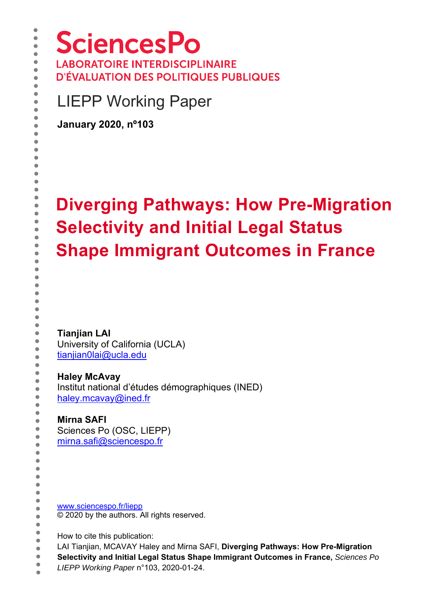LIEPP Working Paper

**January 2020, nº103** 

# **Diverging Pathways: How Pre-Migration Selectivity and Initial Legal Status Shape Immigrant Outcomes in France**

**Tianjian LAI**

University of California (UCLA) tianjian0lai@ucla.edu

**Haley McAvay**

Institut national d'études démographiques (INED) haley.mcavay@ined.fr

# **Mirna SAFI**

Sciences Po (OSC, LIEPP) mirna.safi@sciencespo.fr

www.sciencespo.fr/liepp © 2020 by the authors. All rights reserved.

How to cite this publication:

- ò LAI Tianjian, MCAVAY Haley and Mirna SAFI, **Diverging Pathways: How Pre-Migration**   $\bullet$
- $\bullet$ **Selectivity and Initial Legal Status Shape Immigrant Outcomes in France,** *Sciences Po*
- $\bullet$ *LIEPP Working Paper* n°103, 2020-01-24.

 $\bullet$  $\bullet$  $\bullet$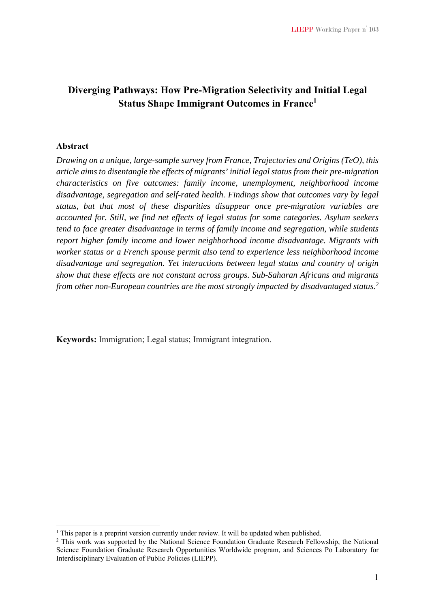# **Diverging Pathways: How Pre-Migration Selectivity and Initial Legal Status Shape Immigrant Outcomes in France<sup>1</sup>**

#### **Abstract**

1

*Drawing on a unique, large-sample survey from France, Trajectories and Origins (TeO), this article aims to disentangle the effects of migrants' initial legal status from their pre-migration characteristics on five outcomes: family income, unemployment, neighborhood income disadvantage, segregation and self-rated health. Findings show that outcomes vary by legal status, but that most of these disparities disappear once pre-migration variables are accounted for. Still, we find net effects of legal status for some categories. Asylum seekers tend to face greater disadvantage in terms of family income and segregation, while students report higher family income and lower neighborhood income disadvantage. Migrants with worker status or a French spouse permit also tend to experience less neighborhood income disadvantage and segregation. Yet interactions between legal status and country of origin show that these effects are not constant across groups. Sub-Saharan Africans and migrants from other non-European countries are the most strongly impacted by disadvantaged status.2* 

**Keywords:** Immigration; Legal status; Immigrant integration.

<sup>&</sup>lt;sup>1</sup> This paper is a preprint version currently under review. It will be updated when published.  $\frac{2}{3}$  This work was supported by the National Science Foundation Graduate Research Fellow

<sup>&</sup>lt;sup>2</sup> This work was supported by the National Science Foundation Graduate Research Fellowship, the National Science Foundation Graduate Research Opportunities Worldwide program, and Sciences Po Laboratory for Interdisciplinary Evaluation of Public Policies (LIEPP).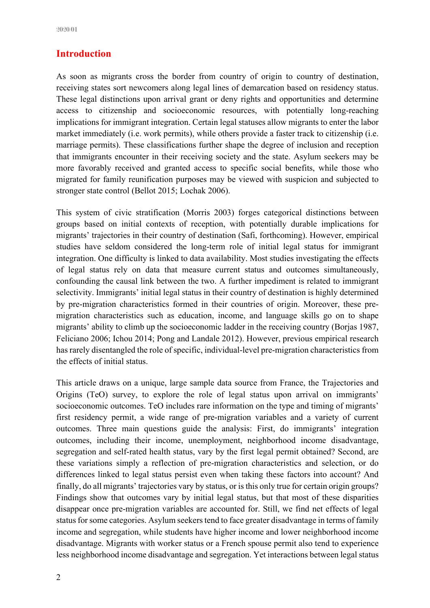# **Introduction**

As soon as migrants cross the border from country of origin to country of destination, receiving states sort newcomers along legal lines of demarcation based on residency status. These legal distinctions upon arrival grant or deny rights and opportunities and determine access to citizenship and socioeconomic resources, with potentially long-reaching implications for immigrant integration. Certain legal statuses allow migrants to enter the labor market immediately (i.e. work permits), while others provide a faster track to citizenship (i.e. marriage permits). These classifications further shape the degree of inclusion and reception that immigrants encounter in their receiving society and the state. Asylum seekers may be more favorably received and granted access to specific social benefits, while those who migrated for family reunification purposes may be viewed with suspicion and subjected to stronger state control (Bellot 2015; Lochak 2006).

This system of civic stratification (Morris 2003) forges categorical distinctions between groups based on initial contexts of reception, with potentially durable implications for migrants' trajectories in their country of destination (Safi, forthcoming). However, empirical studies have seldom considered the long-term role of initial legal status for immigrant integration. One difficulty is linked to data availability. Most studies investigating the effects of legal status rely on data that measure current status and outcomes simultaneously, confounding the causal link between the two. A further impediment is related to immigrant selectivity. Immigrants' initial legal status in their country of destination is highly determined by pre-migration characteristics formed in their countries of origin. Moreover, these premigration characteristics such as education, income, and language skills go on to shape migrants' ability to climb up the socioeconomic ladder in the receiving country (Borjas 1987, Feliciano 2006; Ichou 2014; Pong and Landale 2012). However, previous empirical research has rarely disentangled the role of specific, individual-level pre-migration characteristics from the effects of initial status.

This article draws on a unique, large sample data source from France, the Trajectories and Origins (TeO) survey, to explore the role of legal status upon arrival on immigrants' socioeconomic outcomes. TeO includes rare information on the type and timing of migrants' first residency permit, a wide range of pre-migration variables and a variety of current outcomes. Three main questions guide the analysis: First, do immigrants' integration outcomes, including their income, unemployment, neighborhood income disadvantage, segregation and self-rated health status, vary by the first legal permit obtained? Second, are these variations simply a reflection of pre-migration characteristics and selection, or do differences linked to legal status persist even when taking these factors into account? And finally, do all migrants' trajectories vary by status, or is this only true for certain origin groups? Findings show that outcomes vary by initial legal status, but that most of these disparities disappear once pre-migration variables are accounted for. Still, we find net effects of legal status for some categories. Asylum seekers tend to face greater disadvantage in terms of family income and segregation, while students have higher income and lower neighborhood income disadvantage. Migrants with worker status or a French spouse permit also tend to experience less neighborhood income disadvantage and segregation. Yet interactions between legal status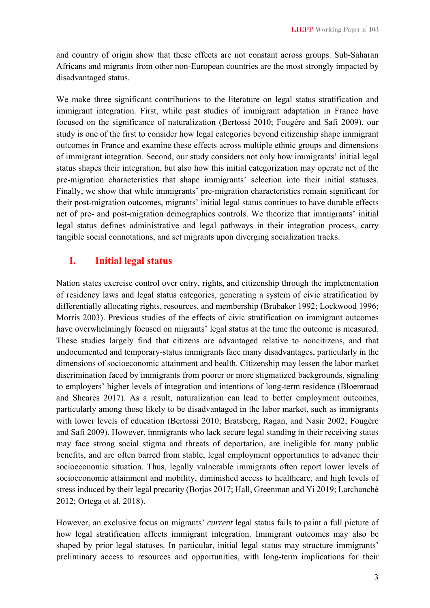and country of origin show that these effects are not constant across groups. Sub-Saharan Africans and migrants from other non-European countries are the most strongly impacted by disadvantaged status.

We make three significant contributions to the literature on legal status stratification and immigrant integration. First, while past studies of immigrant adaptation in France have focused on the significance of naturalization (Bertossi 2010; Fougère and Safi 2009), our study is one of the first to consider how legal categories beyond citizenship shape immigrant outcomes in France and examine these effects across multiple ethnic groups and dimensions of immigrant integration. Second, our study considers not only how immigrants' initial legal status shapes their integration, but also how this initial categorization may operate net of the pre-migration characteristics that shape immigrants' selection into their initial statuses. Finally, we show that while immigrants' pre-migration characteristics remain significant for their post-migration outcomes, migrants' initial legal status continues to have durable effects net of pre- and post-migration demographics controls. We theorize that immigrants' initial legal status defines administrative and legal pathways in their integration process, carry tangible social connotations, and set migrants upon diverging socialization tracks.

## **I. Initial legal status**

Nation states exercise control over entry, rights, and citizenship through the implementation of residency laws and legal status categories, generating a system of civic stratification by differentially allocating rights, resources, and membership (Brubaker 1992; Lockwood 1996; Morris 2003). Previous studies of the effects of civic stratification on immigrant outcomes have overwhelmingly focused on migrants' legal status at the time the outcome is measured. These studies largely find that citizens are advantaged relative to noncitizens, and that undocumented and temporary-status immigrants face many disadvantages, particularly in the dimensions of socioeconomic attainment and health. Citizenship may lessen the labor market discrimination faced by immigrants from poorer or more stigmatized backgrounds, signaling to employers' higher levels of integration and intentions of long-term residence (Bloemraad and Sheares 2017). As a result, naturalization can lead to better employment outcomes, particularly among those likely to be disadvantaged in the labor market, such as immigrants with lower levels of education (Bertossi 2010; Bratsberg, Ragan, and Nasir 2002; Fougère and Safi 2009). However, immigrants who lack secure legal standing in their receiving states may face strong social stigma and threats of deportation, are ineligible for many public benefits, and are often barred from stable, legal employment opportunities to advance their socioeconomic situation. Thus, legally vulnerable immigrants often report lower levels of socioeconomic attainment and mobility, diminished access to healthcare, and high levels of stress induced by their legal precarity (Borjas 2017; Hall, Greenman and Yi 2019; Larchanché 2012; Ortega et al. 2018).

However, an exclusive focus on migrants' *current* legal status fails to paint a full picture of how legal stratification affects immigrant integration. Immigrant outcomes may also be shaped by prior legal statuses. In particular, initial legal status may structure immigrants' preliminary access to resources and opportunities, with long-term implications for their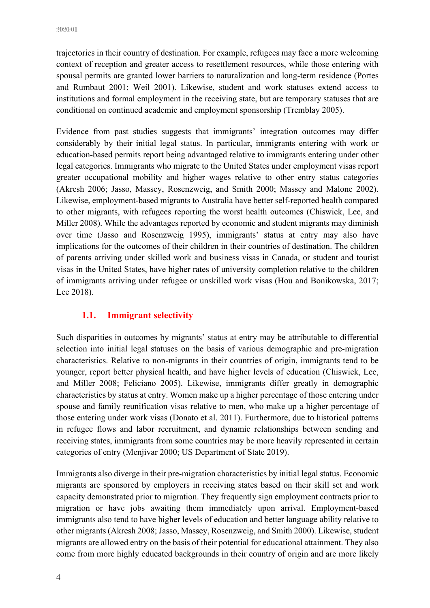trajectories in their country of destination. For example, refugees may face a more welcoming context of reception and greater access to resettlement resources, while those entering with spousal permits are granted lower barriers to naturalization and long-term residence (Portes and Rumbaut 2001; Weil 2001). Likewise, student and work statuses extend access to institutions and formal employment in the receiving state, but are temporary statuses that are conditional on continued academic and employment sponsorship (Tremblay 2005).

Evidence from past studies suggests that immigrants' integration outcomes may differ considerably by their initial legal status. In particular, immigrants entering with work or education-based permits report being advantaged relative to immigrants entering under other legal categories. Immigrants who migrate to the United States under employment visas report greater occupational mobility and higher wages relative to other entry status categories (Akresh 2006; Jasso, Massey, Rosenzweig, and Smith 2000; Massey and Malone 2002). Likewise, employment-based migrants to Australia have better self-reported health compared to other migrants, with refugees reporting the worst health outcomes (Chiswick, Lee, and Miller 2008). While the advantages reported by economic and student migrants may diminish over time (Jasso and Rosenzweig 1995), immigrants' status at entry may also have implications for the outcomes of their children in their countries of destination. The children of parents arriving under skilled work and business visas in Canada, or student and tourist visas in the United States, have higher rates of university completion relative to the children of immigrants arriving under refugee or unskilled work visas (Hou and Bonikowska, 2017; Lee 2018).

#### **1.1. Immigrant selectivity**

Such disparities in outcomes by migrants' status at entry may be attributable to differential selection into initial legal statuses on the basis of various demographic and pre-migration characteristics. Relative to non-migrants in their countries of origin, immigrants tend to be younger, report better physical health, and have higher levels of education (Chiswick, Lee, and Miller 2008; Feliciano 2005). Likewise, immigrants differ greatly in demographic characteristics by status at entry. Women make up a higher percentage of those entering under spouse and family reunification visas relative to men, who make up a higher percentage of those entering under work visas (Donato et al. 2011). Furthermore, due to historical patterns in refugee flows and labor recruitment, and dynamic relationships between sending and receiving states, immigrants from some countries may be more heavily represented in certain categories of entry (Menjivar 2000; US Department of State 2019).

Immigrants also diverge in their pre-migration characteristics by initial legal status. Economic migrants are sponsored by employers in receiving states based on their skill set and work capacity demonstrated prior to migration. They frequently sign employment contracts prior to migration or have jobs awaiting them immediately upon arrival. Employment-based immigrants also tend to have higher levels of education and better language ability relative to other migrants (Akresh 2008; Jasso, Massey, Rosenzweig, and Smith 2000). Likewise, student migrants are allowed entry on the basis of their potential for educational attainment. They also come from more highly educated backgrounds in their country of origin and are more likely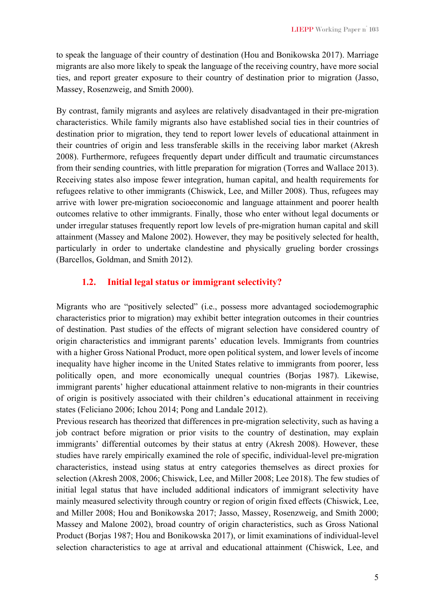to speak the language of their country of destination (Hou and Bonikowska 2017). Marriage migrants are also more likely to speak the language of the receiving country, have more social ties, and report greater exposure to their country of destination prior to migration (Jasso, Massey, Rosenzweig, and Smith 2000).

By contrast, family migrants and asylees are relatively disadvantaged in their pre-migration characteristics. While family migrants also have established social ties in their countries of destination prior to migration, they tend to report lower levels of educational attainment in their countries of origin and less transferable skills in the receiving labor market (Akresh 2008). Furthermore, refugees frequently depart under difficult and traumatic circumstances from their sending countries, with little preparation for migration (Torres and Wallace 2013). Receiving states also impose fewer integration, human capital, and health requirements for refugees relative to other immigrants (Chiswick, Lee, and Miller 2008). Thus, refugees may arrive with lower pre-migration socioeconomic and language attainment and poorer health outcomes relative to other immigrants. Finally, those who enter without legal documents or under irregular statuses frequently report low levels of pre-migration human capital and skill attainment (Massey and Malone 2002). However, they may be positively selected for health, particularly in order to undertake clandestine and physically grueling border crossings (Barcellos, Goldman, and Smith 2012).

#### **1.2. Initial legal status or immigrant selectivity?**

Migrants who are "positively selected" (i.e., possess more advantaged sociodemographic characteristics prior to migration) may exhibit better integration outcomes in their countries of destination. Past studies of the effects of migrant selection have considered country of origin characteristics and immigrant parents' education levels. Immigrants from countries with a higher Gross National Product, more open political system, and lower levels of income inequality have higher income in the United States relative to immigrants from poorer, less politically open, and more economically unequal countries (Borjas 1987). Likewise, immigrant parents' higher educational attainment relative to non-migrants in their countries of origin is positively associated with their children's educational attainment in receiving states (Feliciano 2006; Ichou 2014; Pong and Landale 2012).

Previous research has theorized that differences in pre-migration selectivity, such as having a job contract before migration or prior visits to the country of destination, may explain immigrants' differential outcomes by their status at entry (Akresh 2008). However, these studies have rarely empirically examined the role of specific, individual-level pre-migration characteristics, instead using status at entry categories themselves as direct proxies for selection (Akresh 2008, 2006; Chiswick, Lee, and Miller 2008; Lee 2018). The few studies of initial legal status that have included additional indicators of immigrant selectivity have mainly measured selectivity through country or region of origin fixed effects (Chiswick, Lee, and Miller 2008; Hou and Bonikowska 2017; Jasso, Massey, Rosenzweig, and Smith 2000; Massey and Malone 2002), broad country of origin characteristics, such as Gross National Product (Borjas 1987; Hou and Bonikowska 2017), or limit examinations of individual-level selection characteristics to age at arrival and educational attainment (Chiswick, Lee, and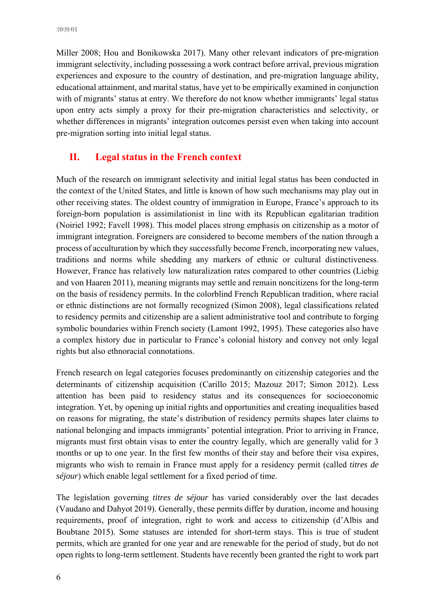Miller 2008; Hou and Bonikowska 2017). Many other relevant indicators of pre-migration immigrant selectivity, including possessing a work contract before arrival, previous migration experiences and exposure to the country of destination, and pre-migration language ability, educational attainment, and marital status, have yet to be empirically examined in conjunction with of migrants' status at entry. We therefore do not know whether immigrants' legal status upon entry acts simply a proxy for their pre-migration characteristics and selectivity, or whether differences in migrants' integration outcomes persist even when taking into account pre-migration sorting into initial legal status.

# **II. Legal status in the French context**

Much of the research on immigrant selectivity and initial legal status has been conducted in the context of the United States, and little is known of how such mechanisms may play out in other receiving states. The oldest country of immigration in Europe, France's approach to its foreign-born population is assimilationist in line with its Republican egalitarian tradition (Noiriel 1992; Favell 1998). This model places strong emphasis on citizenship as a motor of immigrant integration. Foreigners are considered to become members of the nation through a process of acculturation by which they successfully become French, incorporating new values, traditions and norms while shedding any markers of ethnic or cultural distinctiveness. However, France has relatively low naturalization rates compared to other countries (Liebig and von Haaren 2011), meaning migrants may settle and remain noncitizens for the long-term on the basis of residency permits. In the colorblind French Republican tradition, where racial or ethnic distinctions are not formally recognized (Simon 2008), legal classifications related to residency permits and citizenship are a salient administrative tool and contribute to forging symbolic boundaries within French society (Lamont 1992, 1995). These categories also have a complex history due in particular to France's colonial history and convey not only legal rights but also ethnoracial connotations.

French research on legal categories focuses predominantly on citizenship categories and the determinants of citizenship acquisition (Carillo 2015; Mazouz 2017; Simon 2012). Less attention has been paid to residency status and its consequences for socioeconomic integration. Yet, by opening up initial rights and opportunities and creating inequalities based on reasons for migrating, the state's distribution of residency permits shapes later claims to national belonging and impacts immigrants' potential integration. Prior to arriving in France, migrants must first obtain visas to enter the country legally, which are generally valid for 3 months or up to one year. In the first few months of their stay and before their visa expires, migrants who wish to remain in France must apply for a residency permit (called *titres de séjour*) which enable legal settlement for a fixed period of time.

The legislation governing *titres de séjour* has varied considerably over the last decades (Vaudano and Dahyot 2019). Generally, these permits differ by duration, income and housing requirements, proof of integration, right to work and access to citizenship (d'Albis and Boubtane 2015). Some statuses are intended for short-term stays. This is true of student permits, which are granted for one year and are renewable for the period of study, but do not open rights to long-term settlement. Students have recently been granted the right to work part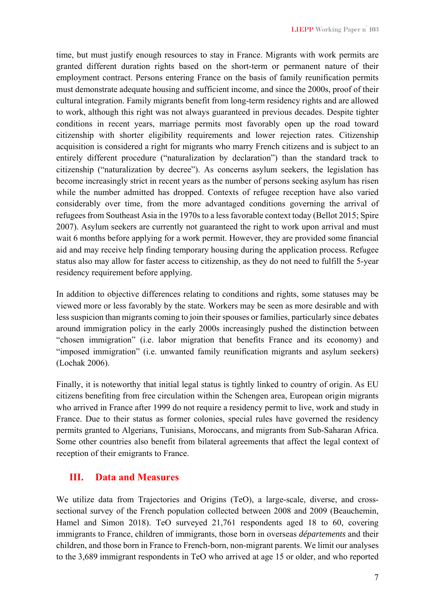time, but must justify enough resources to stay in France. Migrants with work permits are granted different duration rights based on the short-term or permanent nature of their employment contract. Persons entering France on the basis of family reunification permits must demonstrate adequate housing and sufficient income, and since the 2000s, proof of their cultural integration. Family migrants benefit from long-term residency rights and are allowed to work, although this right was not always guaranteed in previous decades. Despite tighter conditions in recent years, marriage permits most favorably open up the road toward citizenship with shorter eligibility requirements and lower rejection rates. Citizenship acquisition is considered a right for migrants who marry French citizens and is subject to an entirely different procedure ("naturalization by declaration") than the standard track to citizenship ("naturalization by decree"). As concerns asylum seekers, the legislation has become increasingly strict in recent years as the number of persons seeking asylum has risen while the number admitted has dropped. Contexts of refugee reception have also varied considerably over time, from the more advantaged conditions governing the arrival of refugees from Southeast Asia in the 1970s to a less favorable context today (Bellot 2015; Spire 2007). Asylum seekers are currently not guaranteed the right to work upon arrival and must wait 6 months before applying for a work permit. However, they are provided some financial aid and may receive help finding temporary housing during the application process. Refugee status also may allow for faster access to citizenship, as they do not need to fulfill the 5-year residency requirement before applying.

In addition to objective differences relating to conditions and rights, some statuses may be viewed more or less favorably by the state. Workers may be seen as more desirable and with less suspicion than migrants coming to join their spouses or families, particularly since debates around immigration policy in the early 2000s increasingly pushed the distinction between "chosen immigration" (i.e. labor migration that benefits France and its economy) and "imposed immigration" (i.e. unwanted family reunification migrants and asylum seekers) (Lochak 2006).

Finally, it is noteworthy that initial legal status is tightly linked to country of origin. As EU citizens benefiting from free circulation within the Schengen area, European origin migrants who arrived in France after 1999 do not require a residency permit to live, work and study in France. Due to their status as former colonies, special rules have governed the residency permits granted to Algerians, Tunisians, Moroccans, and migrants from Sub-Saharan Africa. Some other countries also benefit from bilateral agreements that affect the legal context of reception of their emigrants to France.

## **III. Data and Measures**

We utilize data from Trajectories and Origins (TeO), a large-scale, diverse, and crosssectional survey of the French population collected between 2008 and 2009 (Beauchemin, Hamel and Simon 2018). TeO surveyed 21,761 respondents aged 18 to 60, covering immigrants to France, children of immigrants, those born in overseas *départements* and their children, and those born in France to French-born, non-migrant parents. We limit our analyses to the 3,689 immigrant respondents in TeO who arrived at age 15 or older, and who reported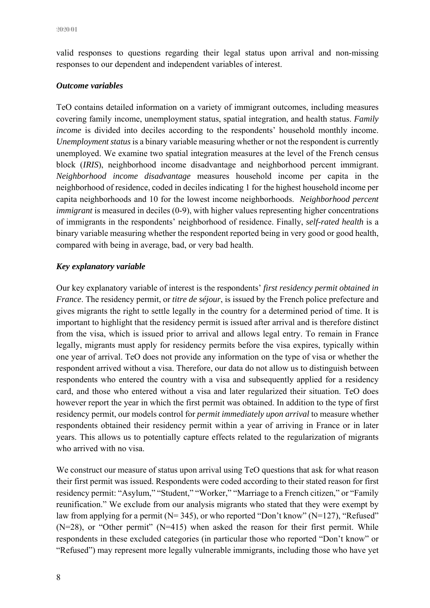valid responses to questions regarding their legal status upon arrival and non-missing responses to our dependent and independent variables of interest.

#### *Outcome variables*

TeO contains detailed information on a variety of immigrant outcomes, including measures covering family income, unemployment status, spatial integration, and health status. *Family income* is divided into deciles according to the respondents' household monthly income. *Unemployment status* is a binary variable measuring whether or not the respondent is currently unemployed. We examine two spatial integration measures at the level of the French census block (*IRIS*), neighborhood income disadvantage and neighborhood percent immigrant. *Neighborhood income disadvantage* measures household income per capita in the neighborhood of residence, coded in deciles indicating 1 for the highest household income per capita neighborhoods and 10 for the lowest income neighborhoods. *Neighborhood percent immigrant* is measured in deciles (0-9), with higher values representing higher concentrations of immigrants in the respondents' neighborhood of residence. Finally, *self-rated health* is a binary variable measuring whether the respondent reported being in very good or good health, compared with being in average, bad, or very bad health.

#### *Key explanatory variable*

Our key explanatory variable of interest is the respondents' *first residency permit obtained in France*. The residency permit, or *titre de séjour*, is issued by the French police prefecture and gives migrants the right to settle legally in the country for a determined period of time. It is important to highlight that the residency permit is issued after arrival and is therefore distinct from the visa, which is issued prior to arrival and allows legal entry. To remain in France legally, migrants must apply for residency permits before the visa expires, typically within one year of arrival. TeO does not provide any information on the type of visa or whether the respondent arrived without a visa. Therefore, our data do not allow us to distinguish between respondents who entered the country with a visa and subsequently applied for a residency card, and those who entered without a visa and later regularized their situation. TeO does however report the year in which the first permit was obtained. In addition to the type of first residency permit, our models control for *permit immediately upon arrival* to measure whether respondents obtained their residency permit within a year of arriving in France or in later years. This allows us to potentially capture effects related to the regularization of migrants who arrived with no visa.

We construct our measure of status upon arrival using TeO questions that ask for what reason their first permit was issued. Respondents were coded according to their stated reason for first residency permit: "Asylum," "Student," "Worker," "Marriage to a French citizen," or "Family reunification." We exclude from our analysis migrants who stated that they were exempt by law from applying for a permit ( $N=345$ ), or who reported "Don't know" ( $N=127$ ), "Refused" (N=28), or "Other permit" (N=415) when asked the reason for their first permit. While respondents in these excluded categories (in particular those who reported "Don't know" or "Refused") may represent more legally vulnerable immigrants, including those who have yet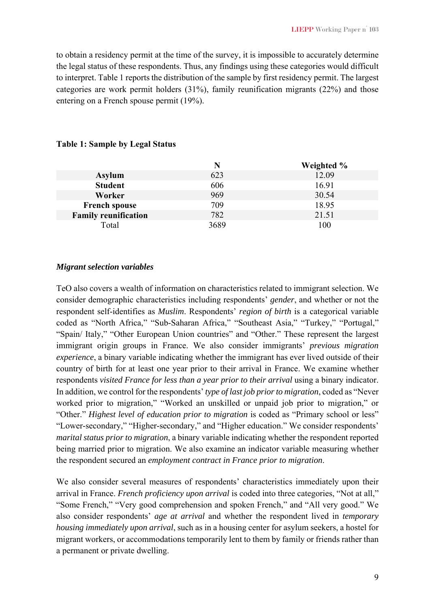to obtain a residency permit at the time of the survey, it is impossible to accurately determine the legal status of these respondents. Thus, any findings using these categories would difficult to interpret. Table 1 reports the distribution of the sample by first residency permit. The largest categories are work permit holders (31%), family reunification migrants (22%) and those entering on a French spouse permit (19%).

|                             |      | Weighted % |
|-----------------------------|------|------------|
| <b>Asylum</b>               | 623  | 12.09      |
| <b>Student</b>              | 606  | 16.91      |
| Worker                      | 969  | 30.54      |
| <b>French spouse</b>        | 709  | 18.95      |
| <b>Family reunification</b> | 782  | 21.51      |
| Total                       | 3689 | 100        |

#### **Table 1: Sample by Legal Status**

#### *Migrant selection variables*

TeO also covers a wealth of information on characteristics related to immigrant selection. We consider demographic characteristics including respondents' *gender*, and whether or not the respondent self-identifies as *Muslim*. Respondents' *region of birth* is a categorical variable coded as "North Africa," "Sub-Saharan Africa," "Southeast Asia," "Turkey," "Portugal," "Spain/ Italy," "Other European Union countries" and "Other." These represent the largest immigrant origin groups in France. We also consider immigrants' *previous migration experience*, a binary variable indicating whether the immigrant has ever lived outside of their country of birth for at least one year prior to their arrival in France. We examine whether respondents *visited France for less than a year prior to their arrival* using a binary indicator. In addition, we control for the respondents' *type of last job prior to migration*, coded as "Never worked prior to migration," "Worked an unskilled or unpaid job prior to migration," or "Other." *Highest level of education prior to migration* is coded as "Primary school or less" "Lower-secondary," "Higher-secondary," and "Higher education." We consider respondents' *marital status prior to migration*, a binary variable indicating whether the respondent reported being married prior to migration. We also examine an indicator variable measuring whether the respondent secured an *employment contract in France prior to migration*.

We also consider several measures of respondents' characteristics immediately upon their arrival in France. *French proficiency upon arrival* is coded into three categories, "Not at all," "Some French," "Very good comprehension and spoken French," and "All very good." We also consider respondents' *age at arrival* and whether the respondent lived in *temporary housing immediately upon arrival*, such as in a housing center for asylum seekers, a hostel for migrant workers, or accommodations temporarily lent to them by family or friends rather than a permanent or private dwelling.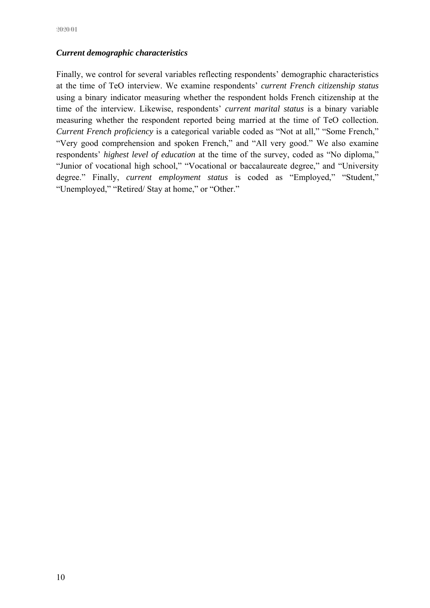#### *Current demographic characteristics*

Finally, we control for several variables reflecting respondents' demographic characteristics at the time of TeO interview. We examine respondents' *current French citizenship status* using a binary indicator measuring whether the respondent holds French citizenship at the time of the interview. Likewise, respondents' *current marital status* is a binary variable measuring whether the respondent reported being married at the time of TeO collection. *Current French proficiency* is a categorical variable coded as "Not at all," "Some French," "Very good comprehension and spoken French," and "All very good." We also examine respondents' *highest level of education* at the time of the survey, coded as "No diploma," "Junior of vocational high school," "Vocational or baccalaureate degree," and "University degree." Finally, *current employment status* is coded as "Employed," "Student," "Unemployed," "Retired/ Stay at home," or "Other."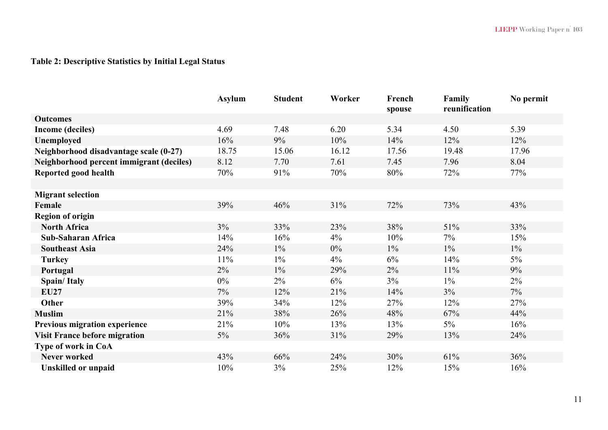# **Table 2: Descriptive Statistics by Initial Legal Status**

|                                          | <b>Asylum</b> | <b>Student</b> | Worker | French<br>spouse | Family<br>reunification | No permit |
|------------------------------------------|---------------|----------------|--------|------------------|-------------------------|-----------|
| <b>Outcomes</b>                          |               |                |        |                  |                         |           |
| <b>Income (deciles)</b>                  | 4.69          | 7.48           | 6.20   | 5.34             | 4.50                    | 5.39      |
| Unemployed                               | 16%           | 9%             | 10%    | 14%              | 12%                     | 12%       |
| Neighborhood disadvantage scale (0-27)   | 18.75         | 15.06          | 16.12  | 17.56            | 19.48                   | 17.96     |
| Neighborhood percent immigrant (deciles) | 8.12          | 7.70           | 7.61   | 7.45             | 7.96                    | 8.04      |
| Reported good health                     | 70%           | 91%            | 70%    | 80%              | 72%                     | 77%       |
|                                          |               |                |        |                  |                         |           |
| <b>Migrant selection</b>                 |               |                |        |                  |                         |           |
| Female                                   | 39%           | 46%            | 31%    | 72%              | 73%                     | 43%       |
| <b>Region of origin</b>                  |               |                |        |                  |                         |           |
| <b>North Africa</b>                      | $3\%$         | 33%            | 23%    | 38%              | 51%                     | 33%       |
| <b>Sub-Saharan Africa</b>                | 14%           | 16%            | 4%     | 10%              | 7%                      | 15%       |
| <b>Southeast Asia</b>                    | 24%           | $1\%$          | 0%     | $1\%$            | $1\%$                   | $1\%$     |
| <b>Turkey</b>                            | $11\%$        | $1\%$          | 4%     | 6%               | 14%                     | $5\%$     |
| Portugal                                 | 2%            | $1\%$          | 29%    | $2\%$            | 11%                     | 9%        |
| <b>Spain/Italy</b>                       | $0\%$         | $2\%$          | $6\%$  | $3\%$            | $1\%$                   | $2\%$     |
| <b>EU27</b>                              | 7%            | 12%            | 21%    | 14%              | $3\%$                   | $7\%$     |
| Other                                    | 39%           | 34%            | 12%    | 27%              | 12%                     | 27%       |
| <b>Muslim</b>                            | 21%           | 38%            | 26%    | 48%              | 67%                     | 44%       |
| Previous migration experience            | 21%           | 10%            | 13%    | 13%              | $5\%$                   | 16%       |
| <b>Visit France before migration</b>     | $5\%$         | 36%            | 31%    | 29%              | 13%                     | 24%       |
| Type of work in CoA                      |               |                |        |                  |                         |           |
| <b>Never worked</b>                      | 43%           | 66%            | 24%    | 30%              | 61%                     | 36%       |
| <b>Unskilled or unpaid</b>               | 10%           | $3\%$          | 25%    | 12%              | 15%                     | 16%       |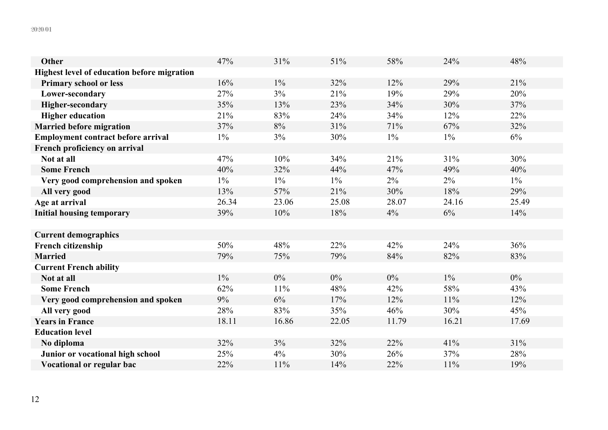| <b>Other</b>                                       | 47%   | 31%   | 51%   | 58%   | 24%   | 48%   |
|----------------------------------------------------|-------|-------|-------|-------|-------|-------|
| <b>Highest level of education before migration</b> |       |       |       |       |       |       |
| <b>Primary school or less</b>                      | 16%   | $1\%$ | 32%   | 12%   | 29%   | 21%   |
| Lower-secondary                                    | 27%   | 3%    | 21%   | 19%   | 29%   | 20%   |
| <b>Higher-secondary</b>                            | 35%   | 13%   | 23%   | 34%   | 30%   | 37%   |
| <b>Higher education</b>                            | 21%   | 83%   | 24%   | 34%   | 12%   | 22%   |
| <b>Married before migration</b>                    | 37%   | 8%    | 31%   | 71%   | 67%   | 32%   |
| <b>Employment contract before arrival</b>          | $1\%$ | 3%    | 30%   | $1\%$ | $1\%$ | 6%    |
| French proficiency on arrival                      |       |       |       |       |       |       |
| Not at all                                         | 47%   | 10%   | 34%   | 21%   | 31%   | 30%   |
| <b>Some French</b>                                 | 40%   | 32%   | 44%   | 47%   | 49%   | 40%   |
| Very good comprehension and spoken                 | $1\%$ | $1\%$ | $1\%$ | 2%    | $2\%$ | $1\%$ |
| All very good                                      | 13%   | 57%   | 21%   | 30%   | 18%   | 29%   |
| Age at arrival                                     | 26.34 | 23.06 | 25.08 | 28.07 | 24.16 | 25.49 |
| <b>Initial housing temporary</b>                   | 39%   | 10%   | 18%   | 4%    | $6\%$ | 14%   |
|                                                    |       |       |       |       |       |       |
| <b>Current demographics</b>                        |       |       |       |       |       |       |
| <b>French citizenship</b>                          | 50%   | 48%   | 22%   | 42%   | 24%   | 36%   |
| <b>Married</b>                                     | 79%   | 75%   | 79%   | 84%   | 82%   | 83%   |
| <b>Current French ability</b>                      |       |       |       |       |       |       |
| Not at all                                         | $1\%$ | $0\%$ | $0\%$ | $0\%$ | $1\%$ | $0\%$ |
| <b>Some French</b>                                 | 62%   | 11%   | 48%   | 42%   | 58%   | 43%   |
| Very good comprehension and spoken                 | 9%    | 6%    | 17%   | 12%   | 11%   | 12%   |
| All very good                                      | 28%   | 83%   | 35%   | 46%   | 30%   | 45%   |
| <b>Years in France</b>                             | 18.11 | 16.86 | 22.05 | 11.79 | 16.21 | 17.69 |
| <b>Education level</b>                             |       |       |       |       |       |       |
| No diploma                                         | 32%   | 3%    | 32%   | 22%   | 41%   | 31%   |
| Junior or vocational high school                   | 25%   | 4%    | 30%   | 26%   | 37%   | 28%   |
| Vocational or regular bac                          | 22%   | 11%   | 14%   | 22%   | 11%   | 19%   |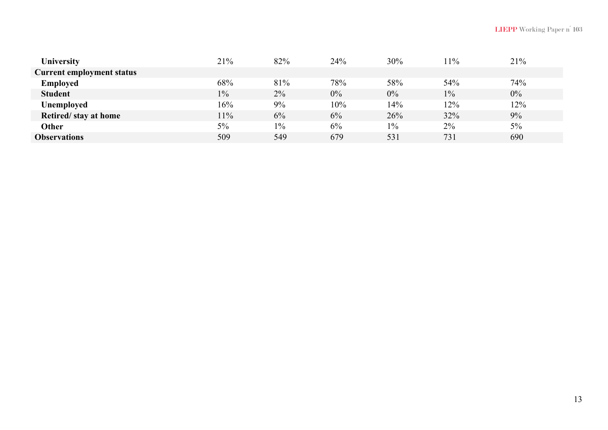| <b>University</b>                | 21%   | 82%   | 24%   | 30%   | $1\%$ | 21%   |
|----------------------------------|-------|-------|-------|-------|-------|-------|
| <b>Current employment status</b> |       |       |       |       |       |       |
| <b>Employed</b>                  | 68%   | 81%   | 78%   | 58%   | 54%   | 74%   |
| <b>Student</b>                   | $1\%$ | $2\%$ | $0\%$ | 0%    | $1\%$ | $0\%$ |
| <b>Unemployed</b>                | 16%   | 9%    | 10%   | 14%   | 12%   | 12%   |
| Retired/stay at home             | $1\%$ | 6%    | 6%    | 26%   | 32%   | 9%    |
| Other                            | 5%    | $1\%$ | 6%    | $1\%$ | $2\%$ | $5\%$ |
| <b>Observations</b>              | 509   | 549   | 679   | 531   | 731   | 690   |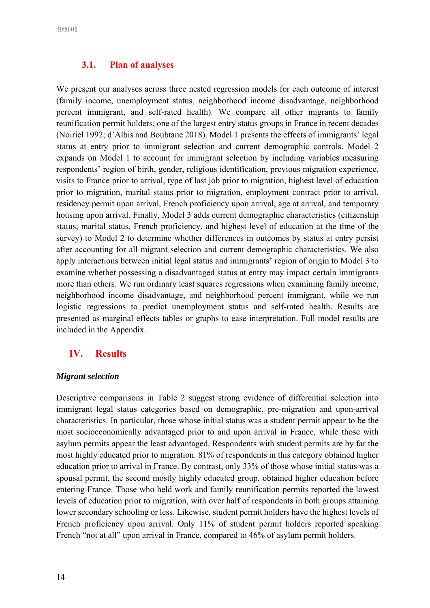#### **3.1. Plan of analyses**

We present our analyses across three nested regression models for each outcome of interest (family income, unemployment status, neighborhood income disadvantage, neighborhood percent immigrant, and self-rated health). We compare all other migrants to family reunification permit holders, one of the largest entry status groups in France in recent decades (Noiriel 1992; d'Albis and Boubtane 2018). Model 1 presents the effects of immigrants' legal status at entry prior to immigrant selection and current demographic controls. Model 2 expands on Model 1 to account for immigrant selection by including variables measuring respondents' region of birth, gender, religious identification, previous migration experience, visits to France prior to arrival, type of last job prior to migration, highest level of education prior to migration, marital status prior to migration, employment contract prior to arrival, residency permit upon arrival, French proficiency upon arrival, age at arrival, and temporary housing upon arrival. Finally, Model 3 adds current demographic characteristics (citizenship status, marital status, French proficiency, and highest level of education at the time of the survey) to Model 2 to determine whether differences in outcomes by status at entry persist after accounting for all migrant selection and current demographic characteristics. We also apply interactions between initial legal status and immigrants' region of origin to Model 3 to examine whether possessing a disadvantaged status at entry may impact certain immigrants more than others. We run ordinary least squares regressions when examining family income, neighborhood income disadvantage, and neighborhood percent immigrant, while we run logistic regressions to predict unemployment status and self-rated health. Results are presented as marginal effects tables or graphs to ease interpretation. Full model results are included in the Appendix.

# **IV. Results**

#### *Migrant selection*

Descriptive comparisons in Table 2 suggest strong evidence of differential selection into immigrant legal status categories based on demographic, pre-migration and upon-arrival characteristics. In particular, those whose initial status was a student permit appear to be the most socioeconomically advantaged prior to and upon arrival in France, while those with asylum permits appear the least advantaged. Respondents with student permits are by far the most highly educated prior to migration. 81% of respondents in this category obtained higher education prior to arrival in France. By contrast, only 33% of those whose initial status was a spousal permit, the second mostly highly educated group, obtained higher education before entering France. Those who held work and family reunification permits reported the lowest levels of education prior to migration, with over half of respondents in both groups attaining lower secondary schooling or less. Likewise, student permit holders have the highest levels of French proficiency upon arrival. Only 11% of student permit holders reported speaking French "not at all" upon arrival in France, compared to 46% of asylum permit holders.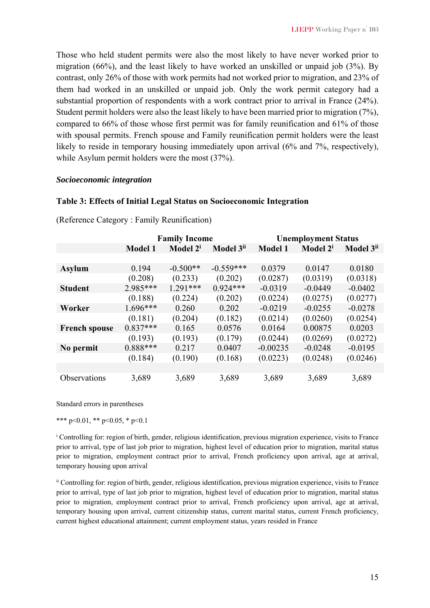Those who held student permits were also the most likely to have never worked prior to migration (66%), and the least likely to have worked an unskilled or unpaid job (3%). By contrast, only 26% of those with work permits had not worked prior to migration, and 23% of them had worked in an unskilled or unpaid job. Only the work permit category had a substantial proportion of respondents with a work contract prior to arrival in France (24%). Student permit holders were also the least likely to have been married prior to migration (7%), compared to 66% of those whose first permit was for family reunification and 61% of those with spousal permits. French spouse and Family reunification permit holders were the least likely to reside in temporary housing immediately upon arrival (6% and 7%, respectively), while Asylum permit holders were the most (37%).

#### *Socioeconomic integration*

#### **Table 3: Effects of Initial Legal Status on Socioeconomic Integration**

|                      |                | <b>Family Income</b> |                       | <b>Unemployment Status</b> |                      |                       |
|----------------------|----------------|----------------------|-----------------------|----------------------------|----------------------|-----------------------|
|                      | <b>Model 1</b> | Model 2 <sup>i</sup> | Model 3 <sup>ii</sup> | <b>Model 1</b>             | Model 2 <sup>i</sup> | Model 3 <sup>ii</sup> |
|                      |                |                      |                       |                            |                      |                       |
| <b>Asylum</b>        | 0.194          | $-0.500**$           | $-0.559***$           | 0.0379                     | 0.0147               | 0.0180                |
|                      | (0.208)        | (0.233)              | (0.202)               | (0.0287)                   | (0.0319)             | (0.0318)              |
| <b>Student</b>       | 2.985***       | $1.291***$           | $0.924***$            | $-0.0319$                  | $-0.0449$            | $-0.0402$             |
|                      | (0.188)        | (0.224)              | (0.202)               | (0.0224)                   | (0.0275)             | (0.0277)              |
| Worker               | $1.696***$     | 0.260                | 0.202                 | $-0.0219$                  | $-0.0255$            | $-0.0278$             |
|                      | (0.181)        | (0.204)              | (0.182)               | (0.0214)                   | (0.0260)             | (0.0254)              |
| <b>French spouse</b> | $0.837***$     | 0.165                | 0.0576                | 0.0164                     | 0.00875              | 0.0203                |
|                      | (0.193)        | (0.193)              | (0.179)               | (0.0244)                   | (0.0269)             | (0.0272)              |
| No permit            | $0.888***$     | 0.217                | 0.0407                | $-0.00235$                 | $-0.0248$            | $-0.0195$             |
|                      | (0.184)        | (0.190)              | (0.168)               | (0.0223)                   | (0.0248)             | (0.0246)              |
|                      |                |                      |                       |                            |                      |                       |
| Observations         | 3,689          | 3,689                | 3,689                 | 3,689                      | 3,689                | 3,689                 |

(Reference Category : Family Reunification)

Standard errors in parentheses

\*\*\* p<0.01, \*\* p<0.05, \* p<0.1

i Controlling for: region of birth, gender, religious identification, previous migration experience, visits to France prior to arrival, type of last job prior to migration, highest level of education prior to migration, marital status prior to migration, employment contract prior to arrival, French proficiency upon arrival, age at arrival, temporary housing upon arrival

ii Controlling for: region of birth, gender, religious identification, previous migration experience, visits to France prior to arrival, type of last job prior to migration, highest level of education prior to migration, marital status prior to migration, employment contract prior to arrival, French proficiency upon arrival, age at arrival, temporary housing upon arrival, current citizenship status, current marital status, current French proficiency, current highest educational attainment; current employment status, years resided in France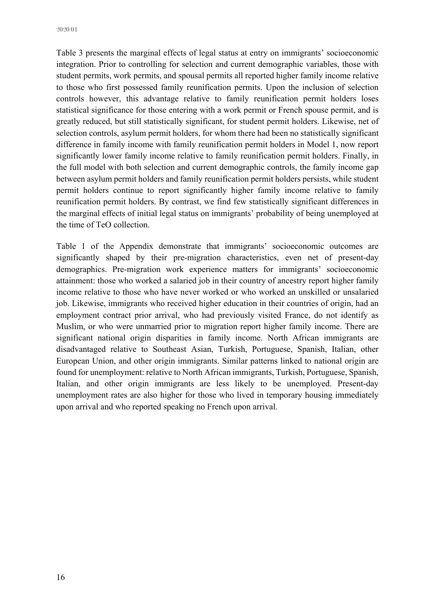2020/01

Table 3 presents the marginal effects of legal status at entry on immigrants' socioeconomic integration. Prior to controlling for selection and current demographic variables, those with student permits, work permits, and spousal permits all reported higher family income relative to those who first possessed family reunification permits. Upon the inclusion of selection controls however, this advantage relative to family reunification permit holders loses statistical significance for those entering with a work permit or French spouse permit, and is greatly reduced, but still statistically significant, for student permit holders. Likewise, net of selection controls, asylum permit holders, for whom there had been no statistically significant difference in family income with family reunification permit holders in Model 1, now report significantly lower family income relative to family reunification permit holders. Finally, in the full model with both selection and current demographic controls, the family income gap between asylum permit holders and family reunification permit holders persists, while student permit holders continue to report significantly higher family income relative to family reunification permit holders. By contrast, we find few statistically significant differences in the marginal effects of initial legal status on immigrants' probability of being unemployed at the time of TeO collection.

Table 1 of the Appendix demonstrate that immigrants' socioeconomic outcomes are significantly shaped by their pre-migration characteristics, even net of present-day demographics. Pre-migration work experience matters for immigrants' socioeconomic attainment: those who worked a salaried job in their country of ancestry report higher family income relative to those who have never worked or who worked an unskilled or unsalaried job. Likewise, immigrants who received higher education in their countries of origin, had an employment contract prior arrival, who had previously visited France, do not identify as Muslim, or who were unmarried prior to migration report higher family income. There are significant national origin disparities in family income. North African immigrants are disadvantaged relative to Southeast Asian, Turkish, Portuguese, Spanish, Italian, other European Union, and other origin immigrants. Similar patterns linked to national origin are found for unemployment: relative to North African immigrants, Turkish, Portuguese, Spanish, Italian, and other origin immigrants are less likely to be unemployed. Present-day unemployment rates are also higher for those who lived in temporary housing immediately upon arrival and who reported speaking no French upon arrival.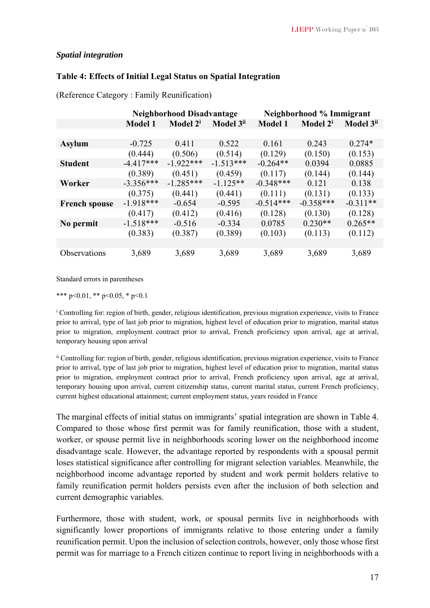#### *Spatial integration*

#### **Table 4: Effects of Initial Legal Status on Spatial Integration**

|                      |                | Neighborhood Disadvantage |                       | Neighborhood % Immigrant |                      |                       |
|----------------------|----------------|---------------------------|-----------------------|--------------------------|----------------------|-----------------------|
|                      | <b>Model 1</b> | Model 2 <sup>i</sup>      | Model 3 <sup>ii</sup> | <b>Model 1</b>           | Model 2 <sup>i</sup> | Model 3 <sup>ii</sup> |
|                      |                |                           |                       |                          |                      |                       |
| <b>Asylum</b>        | $-0.725$       | 0.411                     | 0.522                 | 0.161                    | 0.243                | $0.274*$              |
|                      | (0.444)        | (0.506)                   | (0.514)               | (0.129)                  | (0.150)              | (0.153)               |
| <b>Student</b>       | $-4.417***$    | $-1.922***$               | $-1.513***$           | $-0.264**$               | 0.0394               | 0.0885                |
|                      | (0.389)        | (0.451)                   | (0.459)               | (0.117)                  | (0.144)              | (0.144)               |
| Worker               | $-3.356***$    | $-1.285***$               | $-1.125**$            | $-0.348***$              | 0.121                | 0.138                 |
|                      | (0.375)        | (0.441)                   | (0.441)               | (0.111)                  | (0.131)              | (0.133)               |
| <b>French spouse</b> | $-1.918***$    | $-0.654$                  | $-0.595$              | $-0.514***$              | $-0.358***$          | $-0.311**$            |
|                      | (0.417)        | (0.412)                   | (0.416)               | (0.128)                  | (0.130)              | (0.128)               |
| No permit            | $-1.518***$    | $-0.516$                  | $-0.334$              | 0.0785                   | $0.230**$            | $0.265**$             |
|                      | (0.383)        | (0.387)                   | (0.389)               | (0.103)                  | (0.113)              | (0.112)               |
|                      |                |                           |                       |                          |                      |                       |
| Observations         | 3,689          | 3,689                     | 3,689                 | 3,689                    | 3,689                | 3,689                 |

(Reference Category : Family Reunification)

Standard errors in parentheses

\*\*\* p<0.01, \*\* p<0.05, \* p<0.1

<sup>i</sup> Controlling for: region of birth, gender, religious identification, previous migration experience, visits to France prior to arrival, type of last job prior to migration, highest level of education prior to migration, marital status prior to migration, employment contract prior to arrival, French proficiency upon arrival, age at arrival, temporary housing upon arrival

ii Controlling for: region of birth, gender, religious identification, previous migration experience, visits to France prior to arrival, type of last job prior to migration, highest level of education prior to migration, marital status prior to migration, employment contract prior to arrival, French proficiency upon arrival, age at arrival, temporary housing upon arrival, current citizenship status, current marital status, current French proficiency, current highest educational attainment; current employment status, years resided in France

The marginal effects of initial status on immigrants' spatial integration are shown in Table 4. Compared to those whose first permit was for family reunification, those with a student, worker, or spouse permit live in neighborhoods scoring lower on the neighborhood income disadvantage scale. However, the advantage reported by respondents with a spousal permit loses statistical significance after controlling for migrant selection variables. Meanwhile, the neighborhood income advantage reported by student and work permit holders relative to family reunification permit holders persists even after the inclusion of both selection and current demographic variables.

Furthermore, those with student, work, or spousal permits live in neighborhoods with significantly lower proportions of immigrants relative to those entering under a family reunification permit. Upon the inclusion of selection controls, however, only those whose first permit was for marriage to a French citizen continue to report living in neighborhoods with a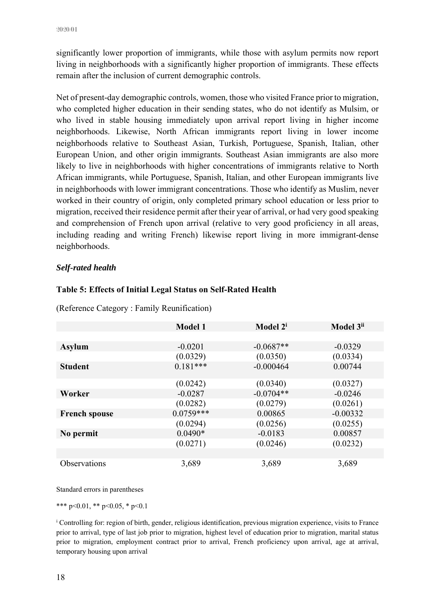significantly lower proportion of immigrants, while those with asylum permits now report living in neighborhoods with a significantly higher proportion of immigrants. These effects remain after the inclusion of current demographic controls.

Net of present-day demographic controls, women, those who visited France prior to migration, who completed higher education in their sending states, who do not identify as Mulsim, or who lived in stable housing immediately upon arrival report living in higher income neighborhoods. Likewise, North African immigrants report living in lower income neighborhoods relative to Southeast Asian, Turkish, Portuguese, Spanish, Italian, other European Union, and other origin immigrants. Southeast Asian immigrants are also more likely to live in neighborhoods with higher concentrations of immigrants relative to North African immigrants, while Portuguese, Spanish, Italian, and other European immigrants live in neighborhoods with lower immigrant concentrations. Those who identify as Muslim, never worked in their country of origin, only completed primary school education or less prior to migration, received their residence permit after their year of arrival, or had very good speaking and comprehension of French upon arrival (relative to very good proficiency in all areas, including reading and writing French) likewise report living in more immigrant-dense neighborhoods.

#### *Self-rated health*

|                      | <b>Model 1</b> | Model 2 <sup>i</sup> | Model 3 <sup>ii</sup> |
|----------------------|----------------|----------------------|-----------------------|
|                      |                |                      |                       |
| <b>Asylum</b>        | $-0.0201$      | $-0.0687**$          | $-0.0329$             |
|                      | (0.0329)       | (0.0350)             | (0.0334)              |
| <b>Student</b>       | $0.181***$     | $-0.000464$          | 0.00744               |
|                      |                |                      |                       |
|                      | (0.0242)       | (0.0340)             | (0.0327)              |
| Worker               | $-0.0287$      | $-0.0704**$          | $-0.0246$             |
|                      | (0.0282)       | (0.0279)             | (0.0261)              |
| <b>French spouse</b> | $0.0759***$    | 0.00865              | $-0.00332$            |
|                      | (0.0294)       | (0.0256)             | (0.0255)              |
| No permit            | $0.0490*$      | $-0.0183$            | 0.00857               |
|                      | (0.0271)       | (0.0246)             | (0.0232)              |
|                      |                |                      |                       |
| <b>Observations</b>  | 3,689          | 3,689                | 3,689                 |

#### **Table 5: Effects of Initial Legal Status on Self-Rated Health**

(Reference Category : Family Reunification)

Standard errors in parentheses

\*\*\* p<0.01, \*\* p<0.05, \* p<0.1

i Controlling for: region of birth, gender, religious identification, previous migration experience, visits to France prior to arrival, type of last job prior to migration, highest level of education prior to migration, marital status prior to migration, employment contract prior to arrival, French proficiency upon arrival, age at arrival, temporary housing upon arrival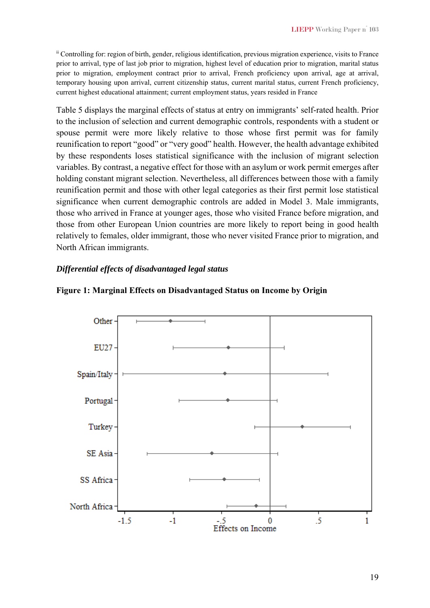ii Controlling for: region of birth, gender, religious identification, previous migration experience, visits to France prior to arrival, type of last job prior to migration, highest level of education prior to migration, marital status prior to migration, employment contract prior to arrival, French proficiency upon arrival, age at arrival, temporary housing upon arrival, current citizenship status, current marital status, current French proficiency, current highest educational attainment; current employment status, years resided in France

Table 5 displays the marginal effects of status at entry on immigrants' self-rated health. Prior to the inclusion of selection and current demographic controls, respondents with a student or spouse permit were more likely relative to those whose first permit was for family reunification to report "good" or "very good" health. However, the health advantage exhibited by these respondents loses statistical significance with the inclusion of migrant selection variables. By contrast, a negative effect for those with an asylum or work permit emerges after holding constant migrant selection. Nevertheless, all differences between those with a family reunification permit and those with other legal categories as their first permit lose statistical significance when current demographic controls are added in Model 3. Male immigrants, those who arrived in France at younger ages, those who visited France before migration, and those from other European Union countries are more likely to report being in good health relatively to females, older immigrant, those who never visited France prior to migration, and North African immigrants.

#### *Differential effects of disadvantaged legal status*



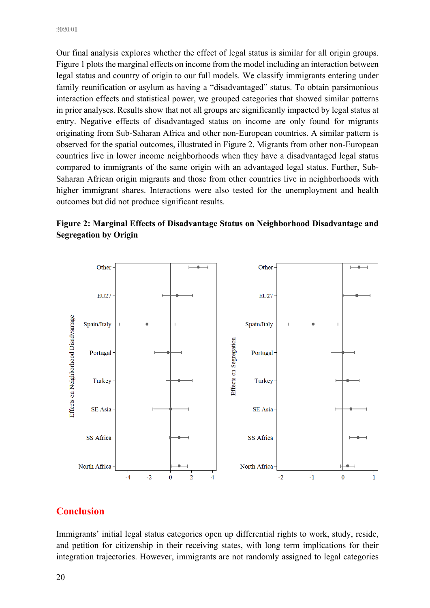Our final analysis explores whether the effect of legal status is similar for all origin groups. Figure 1 plots the marginal effects on income from the model including an interaction between legal status and country of origin to our full models. We classify immigrants entering under family reunification or asylum as having a "disadvantaged" status. To obtain parsimonious interaction effects and statistical power, we grouped categories that showed similar patterns in prior analyses. Results show that not all groups are significantly impacted by legal status at entry. Negative effects of disadvantaged status on income are only found for migrants originating from Sub-Saharan Africa and other non-European countries. A similar pattern is observed for the spatial outcomes, illustrated in Figure 2. Migrants from other non-European countries live in lower income neighborhoods when they have a disadvantaged legal status compared to immigrants of the same origin with an advantaged legal status. Further, Sub-Saharan African origin migrants and those from other countries live in neighborhoods with higher immigrant shares. Interactions were also tested for the unemployment and health outcomes but did not produce significant results.





# **Conclusion**

Immigrants' initial legal status categories open up differential rights to work, study, reside, and petition for citizenship in their receiving states, with long term implications for their integration trajectories. However, immigrants are not randomly assigned to legal categories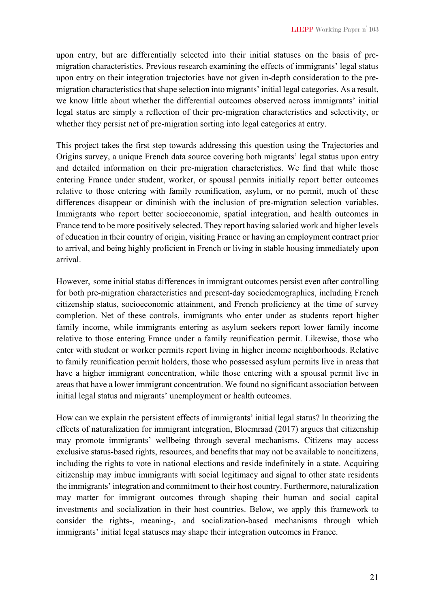upon entry, but are differentially selected into their initial statuses on the basis of premigration characteristics. Previous research examining the effects of immigrants' legal status upon entry on their integration trajectories have not given in-depth consideration to the premigration characteristics that shape selection into migrants' initial legal categories. As a result, we know little about whether the differential outcomes observed across immigrants' initial legal status are simply a reflection of their pre-migration characteristics and selectivity, or whether they persist net of pre-migration sorting into legal categories at entry.

This project takes the first step towards addressing this question using the Trajectories and Origins survey, a unique French data source covering both migrants' legal status upon entry and detailed information on their pre-migration characteristics. We find that while those entering France under student, worker, or spousal permits initially report better outcomes relative to those entering with family reunification, asylum, or no permit, much of these differences disappear or diminish with the inclusion of pre-migration selection variables. Immigrants who report better socioeconomic, spatial integration, and health outcomes in France tend to be more positively selected. They report having salaried work and higher levels of education in their country of origin, visiting France or having an employment contract prior to arrival, and being highly proficient in French or living in stable housing immediately upon arrival.

However, some initial status differences in immigrant outcomes persist even after controlling for both pre-migration characteristics and present-day sociodemographics, including French citizenship status, socioeconomic attainment, and French proficiency at the time of survey completion. Net of these controls, immigrants who enter under as students report higher family income, while immigrants entering as asylum seekers report lower family income relative to those entering France under a family reunification permit. Likewise, those who enter with student or worker permits report living in higher income neighborhoods. Relative to family reunification permit holders, those who possessed asylum permits live in areas that have a higher immigrant concentration, while those entering with a spousal permit live in areas that have a lower immigrant concentration. We found no significant association between initial legal status and migrants' unemployment or health outcomes.

How can we explain the persistent effects of immigrants' initial legal status? In theorizing the effects of naturalization for immigrant integration, Bloemraad (2017) argues that citizenship may promote immigrants' wellbeing through several mechanisms. Citizens may access exclusive status-based rights, resources, and benefits that may not be available to noncitizens, including the rights to vote in national elections and reside indefinitely in a state. Acquiring citizenship may imbue immigrants with social legitimacy and signal to other state residents the immigrants' integration and commitment to their host country. Furthermore, naturalization may matter for immigrant outcomes through shaping their human and social capital investments and socialization in their host countries. Below, we apply this framework to consider the rights-, meaning-, and socialization-based mechanisms through which immigrants' initial legal statuses may shape their integration outcomes in France.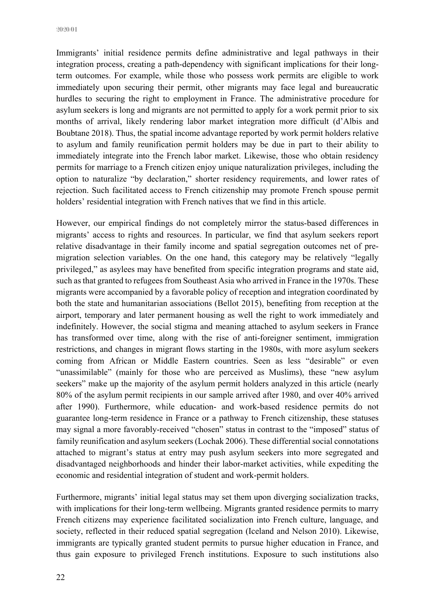Immigrants' initial residence permits define administrative and legal pathways in their integration process, creating a path-dependency with significant implications for their longterm outcomes. For example, while those who possess work permits are eligible to work immediately upon securing their permit, other migrants may face legal and bureaucratic hurdles to securing the right to employment in France. The administrative procedure for asylum seekers is long and migrants are not permitted to apply for a work permit prior to six months of arrival, likely rendering labor market integration more difficult (d'Albis and Boubtane 2018). Thus, the spatial income advantage reported by work permit holders relative to asylum and family reunification permit holders may be due in part to their ability to immediately integrate into the French labor market. Likewise, those who obtain residency permits for marriage to a French citizen enjoy unique naturalization privileges, including the option to naturalize "by declaration," shorter residency requirements, and lower rates of rejection. Such facilitated access to French citizenship may promote French spouse permit holders' residential integration with French natives that we find in this article.

However, our empirical findings do not completely mirror the status-based differences in migrants' access to rights and resources. In particular, we find that asylum seekers report relative disadvantage in their family income and spatial segregation outcomes net of premigration selection variables. On the one hand, this category may be relatively "legally privileged," as asylees may have benefited from specific integration programs and state aid, such as that granted to refugees from Southeast Asia who arrived in France in the 1970s. These migrants were accompanied by a favorable policy of reception and integration coordinated by both the state and humanitarian associations (Bellot 2015), benefiting from reception at the airport, temporary and later permanent housing as well the right to work immediately and indefinitely. However, the social stigma and meaning attached to asylum seekers in France has transformed over time, along with the rise of anti-foreigner sentiment, immigration restrictions, and changes in migrant flows starting in the 1980s, with more asylum seekers coming from African or Middle Eastern countries. Seen as less "desirable" or even "unassimilable" (mainly for those who are perceived as Muslims), these "new asylum seekers" make up the majority of the asylum permit holders analyzed in this article (nearly 80% of the asylum permit recipients in our sample arrived after 1980, and over 40% arrived after 1990). Furthermore, while education- and work-based residence permits do not guarantee long-term residence in France or a pathway to French citizenship, these statuses may signal a more favorably-received "chosen" status in contrast to the "imposed" status of family reunification and asylum seekers (Lochak 2006). These differential social connotations attached to migrant's status at entry may push asylum seekers into more segregated and disadvantaged neighborhoods and hinder their labor-market activities, while expediting the economic and residential integration of student and work-permit holders.

Furthermore, migrants' initial legal status may set them upon diverging socialization tracks, with implications for their long-term wellbeing. Migrants granted residence permits to marry French citizens may experience facilitated socialization into French culture, language, and society, reflected in their reduced spatial segregation (Iceland and Nelson 2010). Likewise, immigrants are typically granted student permits to pursue higher education in France, and thus gain exposure to privileged French institutions. Exposure to such institutions also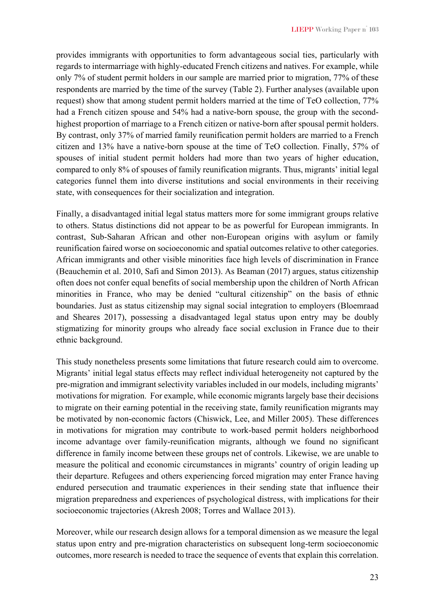provides immigrants with opportunities to form advantageous social ties, particularly with regards to intermarriage with highly-educated French citizens and natives. For example, while only 7% of student permit holders in our sample are married prior to migration, 77% of these respondents are married by the time of the survey (Table 2). Further analyses (available upon request) show that among student permit holders married at the time of TeO collection, 77% had a French citizen spouse and 54% had a native-born spouse, the group with the secondhighest proportion of marriage to a French citizen or native-born after spousal permit holders. By contrast, only 37% of married family reunification permit holders are married to a French citizen and 13% have a native-born spouse at the time of TeO collection. Finally, 57% of spouses of initial student permit holders had more than two years of higher education, compared to only 8% of spouses of family reunification migrants. Thus, migrants' initial legal categories funnel them into diverse institutions and social environments in their receiving state, with consequences for their socialization and integration.

Finally, a disadvantaged initial legal status matters more for some immigrant groups relative to others. Status distinctions did not appear to be as powerful for European immigrants. In contrast, Sub-Saharan African and other non-European origins with asylum or family reunification faired worse on socioeconomic and spatial outcomes relative to other categories. African immigrants and other visible minorities face high levels of discrimination in France (Beauchemin et al. 2010, Safi and Simon 2013). As Beaman (2017) argues, status citizenship often does not confer equal benefits of social membership upon the children of North African minorities in France, who may be denied "cultural citizenship" on the basis of ethnic boundaries. Just as status citizenship may signal social integration to employers (Bloemraad and Sheares 2017), possessing a disadvantaged legal status upon entry may be doubly stigmatizing for minority groups who already face social exclusion in France due to their ethnic background.

This study nonetheless presents some limitations that future research could aim to overcome. Migrants' initial legal status effects may reflect individual heterogeneity not captured by the pre-migration and immigrant selectivity variables included in our models, including migrants' motivations for migration. For example, while economic migrants largely base their decisions to migrate on their earning potential in the receiving state, family reunification migrants may be motivated by non-economic factors (Chiswick, Lee, and Miller 2005). These differences in motivations for migration may contribute to work-based permit holders neighborhood income advantage over family-reunification migrants, although we found no significant difference in family income between these groups net of controls. Likewise, we are unable to measure the political and economic circumstances in migrants' country of origin leading up their departure. Refugees and others experiencing forced migration may enter France having endured persecution and traumatic experiences in their sending state that influence their migration preparedness and experiences of psychological distress, with implications for their socioeconomic trajectories (Akresh 2008; Torres and Wallace 2013).

Moreover, while our research design allows for a temporal dimension as we measure the legal status upon entry and pre-migration characteristics on subsequent long-term socioeconomic outcomes, more research is needed to trace the sequence of events that explain this correlation.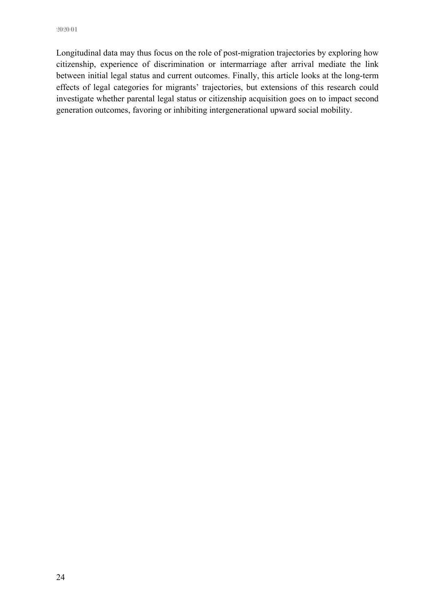Longitudinal data may thus focus on the role of post-migration trajectories by exploring how citizenship, experience of discrimination or intermarriage after arrival mediate the link between initial legal status and current outcomes. Finally, this article looks at the long-term effects of legal categories for migrants' trajectories, but extensions of this research could investigate whether parental legal status or citizenship acquisition goes on to impact second generation outcomes, favoring or inhibiting intergenerational upward social mobility.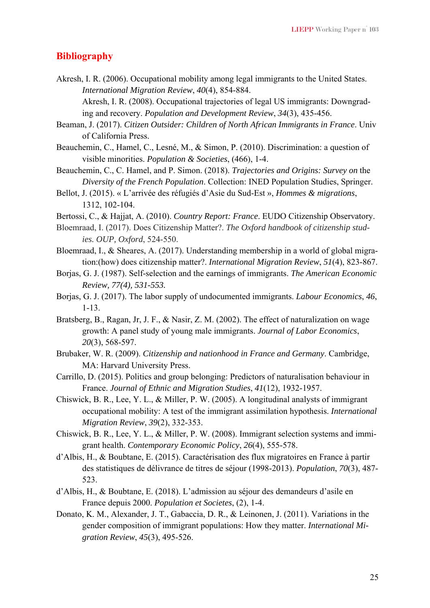#### **Bibliography**

Akresh, I. R. (2006). Occupational mobility among legal immigrants to the United States. *International Migration Review*, *40*(4), 854-884.

Akresh, I. R. (2008). Occupational trajectories of legal US immigrants: Downgrading and recovery. *Population and Development Review*, *34*(3), 435-456.

- Beaman, J. (2017). *Citizen Outsider: Children of North African Immigrants in France*. Univ of California Press.
- Beauchemin, C., Hamel, C., Lesné, M., & Simon, P. (2010). Discrimination: a question of visible minorities. *Population & Societies*, (466), 1-4.
- Beauchemin, C., C. Hamel, and P. Simon. (2018). *Trajectories and Origins: Survey on* the *Diversity of the French Population*. Collection: INED Population Studies, Springer.
- Bellot, J. (2015). « L'arrivée des réfugiés d'Asie du Sud-Est », *Hommes & migrations*, 1312, 102-104.

Bertossi, C., & Hajjat, A. (2010). *Country Report: France*. EUDO Citizenship Observatory.

- Bloemraad, I. (2017). Does Citizenship Matter?. *The Oxford handbook of citizenship studies. OUP, Oxford*, 524-550.
- Bloemraad, I., & Sheares, A. (2017). Understanding membership in a world of global migration:(how) does citizenship matter?. *International Migration Review*, *51*(4), 823-867.
- Borjas, G. J. (1987). Self-selection and the earnings of immigrants. *The American Economic Review, 77(4), 531-553.*
- Borjas, G. J. (2017). The labor supply of undocumented immigrants. *Labour Economics*, *46*, 1-13.
- Bratsberg, B., Ragan, Jr, J. F., & Nasir, Z. M. (2002). The effect of naturalization on wage growth: A panel study of young male immigrants. *Journal of Labor Economics*, *20*(3), 568-597.
- Brubaker, W. R. (2009). *Citizenship and nationhood in France and Germany*. Cambridge, MA: Harvard University Press.
- Carrillo, D. (2015). Politics and group belonging: Predictors of naturalisation behaviour in France. *Journal of Ethnic and Migration Studies*, *41*(12), 1932-1957.
- Chiswick, B. R., Lee, Y. L., & Miller, P. W. (2005). A longitudinal analysts of immigrant occupational mobility: A test of the immigrant assimilation hypothesis. *International Migration Review*, *39*(2), 332-353.
- Chiswick, B. R., Lee, Y. L., & Miller, P. W. (2008). Immigrant selection systems and immigrant health. *Contemporary Economic Policy*, *26*(4), 555-578.
- d'Albis, H., & Boubtane, E. (2015). Caractérisation des flux migratoires en France à partir des statistiques de délivrance de titres de séjour (1998-2013). *Population*, *70*(3), 487- 523.
- d'Albis, H., & Boubtane, E. (2018). L'admission au séjour des demandeurs d'asile en France depuis 2000. *Population et Societes*, (2), 1-4.
- Donato, K. M., Alexander, J. T., Gabaccia, D. R., & Leinonen, J. (2011). Variations in the gender composition of immigrant populations: How they matter. *International Migration Review*, *45*(3), 495-526.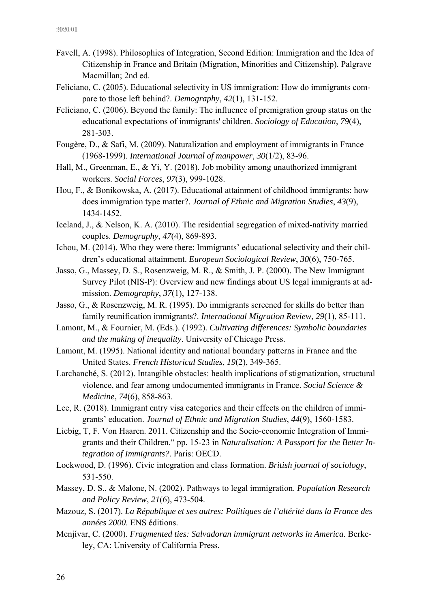- Favell, A. (1998). Philosophies of Integration, Second Edition: Immigration and the Idea of Citizenship in France and Britain (Migration, Minorities and Citizenship). Palgrave Macmillan; 2nd ed.
- Feliciano, C. (2005). Educational selectivity in US immigration: How do immigrants compare to those left behind?. *Demography*, *42*(1), 131-152.
- Feliciano, C. (2006). Beyond the family: The influence of premigration group status on the educational expectations of immigrants' children. *Sociology of Education*, *79*(4), 281-303.
- Fougère, D., & Safi, M. (2009). Naturalization and employment of immigrants in France (1968-1999). *International Journal of manpower*, *30*(1/2), 83-96.
- Hall, M., Greenman, E., & Yi, Y. (2018). Job mobility among unauthorized immigrant workers. *Social Forces*, *97*(3), 999-1028.
- Hou, F., & Bonikowska, A. (2017). Educational attainment of childhood immigrants: how does immigration type matter?. *Journal of Ethnic and Migration Studies*, *43*(9), 1434-1452.
- Iceland, J., & Nelson, K. A. (2010). The residential segregation of mixed-nativity married couples. *Demography*, *47*(4), 869-893.
- Ichou, M. (2014). Who they were there: Immigrants' educational selectivity and their children's educational attainment. *European Sociological Review*, *30*(6), 750-765.
- Jasso, G., Massey, D. S., Rosenzweig, M. R., & Smith, J. P. (2000). The New Immigrant Survey Pilot (NIS-P): Overview and new findings about US legal immigrants at admission. *Demography*, *37*(1), 127-138.
- Jasso, G., & Rosenzweig, M. R. (1995). Do immigrants screened for skills do better than family reunification immigrants?. *International Migration Review*, *29*(1), 85-111.
- Lamont, M., & Fournier, M. (Eds.). (1992). *Cultivating differences: Symbolic boundaries and the making of inequality*. University of Chicago Press.
- Lamont, M. (1995). National identity and national boundary patterns in France and the United States. *French Historical Studies*, *19*(2), 349-365.
- Larchanché, S. (2012). Intangible obstacles: health implications of stigmatization, structural violence, and fear among undocumented immigrants in France. *Social Science & Medicine*, *74*(6), 858-863.
- Lee, R. (2018). Immigrant entry visa categories and their effects on the children of immigrants' education. *Journal of Ethnic and Migration Studies*, *44*(9), 1560-1583.
- Liebig, T, F. Von Haaren. 2011. Citizenship and the Socio-economic Integration of Immigrants and their Children." pp. 15-23 in *Naturalisation: A Passport for the Better Integration of Immigrants?*. Paris: OECD.
- Lockwood, D. (1996). Civic integration and class formation. *British journal of sociology*, 531-550.
- Massey, D. S., & Malone, N. (2002). Pathways to legal immigration. *Population Research and Policy Review*, *21*(6), 473-504.
- Mazouz, S. (2017). *La République et ses autres: Politiques de l'altérité dans la France des années 2000*. ENS éditions.
- Menjívar, C. (2000). *Fragmented ties: Salvadoran immigrant networks in America*. Berkeley, CA: University of California Press.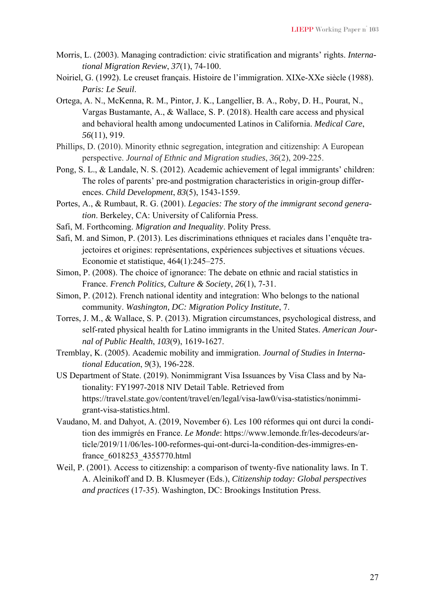- Morris, L. (2003). Managing contradiction: civic stratification and migrants' rights. *International Migration Review*, *37*(1), 74-100.
- Noiriel, G. (1992). Le creuset français. Histoire de l'immigration. XIXe-XXe siècle (1988). *Paris: Le Seuil*.
- Ortega, A. N., McKenna, R. M., Pintor, J. K., Langellier, B. A., Roby, D. H., Pourat, N., Vargas Bustamante, A., & Wallace, S. P. (2018). Health care access and physical and behavioral health among undocumented Latinos in California. *Medical Care*, *56*(11), 919.
- Phillips, D. (2010). Minority ethnic segregation, integration and citizenship: A European perspective. *Journal of Ethnic and Migration studies*, *36*(2), 209-225.
- Pong, S. L., & Landale, N. S. (2012). Academic achievement of legal immigrants' children: The roles of parents' pre-and postmigration characteristics in origin-group differences. *Child Development*, *83*(5), 1543-1559.
- Portes, A., & Rumbaut, R. G. (2001). *Legacies: The story of the immigrant second generation*. Berkeley, CA: University of California Press.
- Safi, M. Forthcoming. *Migration and Inequality*. Polity Press.
- Safi, M. and Simon, P. (2013). Les discriminations ethniques et raciales dans l'enquête trajectoires et origines: représentations, expériences subjectives et situations vécues. Economie et statistique, 464(1):245–275.
- Simon, P. (2008). The choice of ignorance: The debate on ethnic and racial statistics in France. *French Politics, Culture & Society*, *26*(1), 7-31.
- Simon, P. (2012). French national identity and integration: Who belongs to the national community. *Washington, DC: Migration Policy Institute*, 7.
- Torres, J. M., & Wallace, S. P. (2013). Migration circumstances, psychological distress, and self-rated physical health for Latino immigrants in the United States. *American Journal of Public Health*, *103*(9), 1619-1627.
- Tremblay, K. (2005). Academic mobility and immigration. *Journal of Studies in International Education*, *9*(3), 196-228.
- US Department of State. (2019). Nonimmigrant Visa Issuances by Visa Class and by Nationality: FY1997-2018 NIV Detail Table. Retrieved from https://travel.state.gov/content/travel/en/legal/visa-law0/visa-statistics/nonimmigrant-visa-statistics.html.
- Vaudano, M. and Dahyot, A. (2019, November 6). Les 100 réformes qui ont durci la condition des immigrés en France. *Le Monde*: https://www.lemonde.fr/les-decodeurs/article/2019/11/06/les-100-reformes-qui-ont-durci-la-condition-des-immigres-enfrance\_6018253\_4355770.html
- Weil, P. (2001). Access to citizenship: a comparison of twenty-five nationality laws. In T. A. Aleinikoff and D. B. Klusmeyer (Eds.), *Citizenship today: Global perspectives and practices* (17-35). Washington, DC: Brookings Institution Press.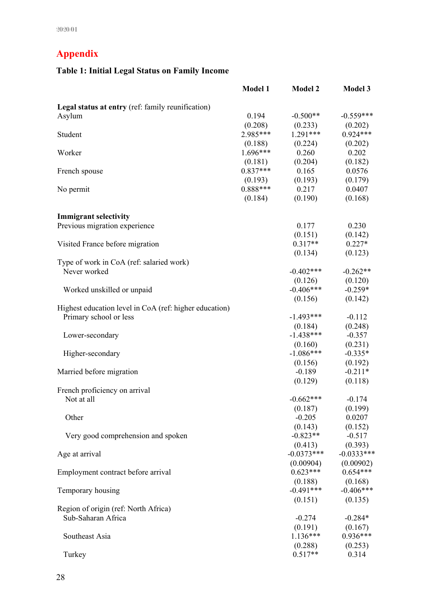# **Appendix**

# **Table 1: Initial Legal Status on Family Income**

|                                                        | <b>Model 1</b> | <b>Model 2</b> | <b>Model 3</b>          |
|--------------------------------------------------------|----------------|----------------|-------------------------|
| Legal status at entry (ref: family reunification)      |                |                |                         |
| Asylum                                                 | 0.194          | $-0.500**$     | $-0.559***$             |
|                                                        | (0.208)        | (0.233)        | (0.202)                 |
| Student                                                | 2.985***       | $1.291***$     | $0.924***$              |
|                                                        | (0.188)        | (0.224)        | (0.202)                 |
| Worker                                                 | $1.696***$     | 0.260          | 0.202                   |
|                                                        | (0.181)        | (0.204)        | (0.182)                 |
| French spouse                                          | $0.837***$     | 0.165          | 0.0576                  |
|                                                        | (0.193)        | (0.193)        | (0.179)                 |
| No permit                                              | $0.888***$     | 0.217          | 0.0407                  |
|                                                        | (0.184)        | (0.190)        | (0.168)                 |
| <b>Immigrant selectivity</b>                           |                |                |                         |
| Previous migration experience                          |                | 0.177          | 0.230                   |
|                                                        |                | (0.151)        | (0.142)                 |
| Visited France before migration                        |                | $0.317**$      | $0.227*$                |
|                                                        |                | (0.134)        | (0.123)                 |
| Type of work in CoA (ref: salaried work)               |                |                |                         |
| Never worked                                           |                | $-0.402$ ***   | $-0.262**$              |
|                                                        |                |                | $(0.126)$ $(0.120)$     |
| Worked unskilled or unpaid                             |                | $-0.406***$    | $-0.259*$               |
|                                                        |                | (0.156)        | (0.142)                 |
| Highest education level in CoA (ref: higher education) |                |                |                         |
| Primary school or less                                 |                | $-1.493***$    | $-0.112$                |
|                                                        |                | (0.184)        | (0.248)                 |
| Lower-secondary                                        |                | $-1.438***$    | $-0.357$                |
|                                                        |                | (0.160)        | (0.231)                 |
| Higher-secondary                                       |                | $-1.086***$    | $-0.335*$               |
|                                                        |                | (0.156)        | (0.192)                 |
| Married before migration                               |                | $-0.189$       | $-0.211*$               |
|                                                        |                | (0.129)        | (0.118)                 |
| French proficiency on arrival                          |                |                |                         |
| Not at all                                             |                | $-0.662***$    | $-0.174$                |
|                                                        |                | (0.187)        | (0.199)                 |
| Other                                                  |                | $-0.205$       | 0.0207                  |
|                                                        |                | (0.143)        | (0.152)                 |
| Very good comprehension and spoken                     |                | $-0.823**$     | $-0.517$                |
|                                                        |                |                | $(0.413)$ $(0.393)$     |
| Age at arrival                                         |                | $-0.0373***$   | $-0.0333***$            |
|                                                        |                |                | $(0.00904)$ $(0.00902)$ |
| Employment contract before arrival                     |                | $0.623***$     | $0.654***$              |
|                                                        |                | (0.188)        | (0.168)                 |
| Temporary housing                                      |                | $-0.491***$    | $-0.406***$             |
|                                                        |                | (0.151)        | (0.135)                 |
| Region of origin (ref: North Africa)                   |                |                |                         |
| Sub-Saharan Africa                                     |                | $-0.274$       | $-0.284*$               |
|                                                        |                |                | $(0.191)$ $(0.167)$     |
| Southeast Asia                                         |                | $1.136***$     | $0.936***$              |
|                                                        |                | (0.288)        | (0.253)                 |
| Turkey                                                 |                | $0.517**$      | 0.314                   |
|                                                        |                |                |                         |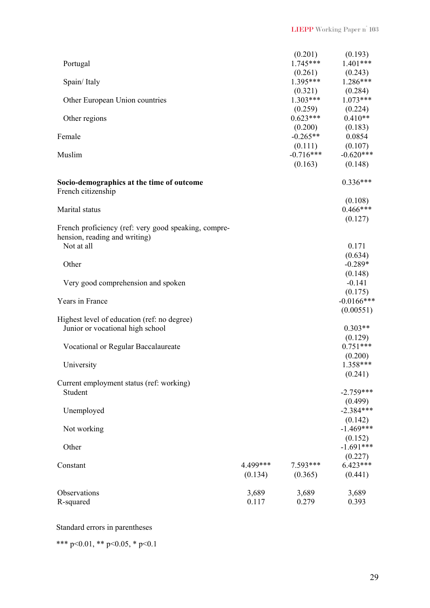| Portugal                                                                              |                     |                     | $(0.201)$ $(0.193)$<br>$1.745***$ $1.401***$         |
|---------------------------------------------------------------------------------------|---------------------|---------------------|------------------------------------------------------|
| Spain/Italy                                                                           |                     |                     | $(0.261)$ $(0.243)$<br>1.395*** 1.286***             |
| Other European Union countries                                                        |                     | (0.259)             | $(0.321)$ $(0.284)$<br>1.303*** 1.073***<br>(0.224)  |
| Other regions                                                                         |                     | $0.623***$          | $0.410**$                                            |
| Female                                                                                |                     | $-0.265**$          | $(0.200)$ $(0.183)$<br>0.0854<br>$(0.111)$ $(0.107)$ |
| Muslim                                                                                |                     | (0.163)             | $-0.716***$ $-0.620***$<br>(0.148)                   |
| Socio-demographics at the time of outcome<br>French citizenship                       |                     |                     | $0.336***$                                           |
| Marital status                                                                        |                     |                     | (0.108)<br>$0.466***$<br>(0.127)                     |
| French proficiency (ref: very good speaking, compre-<br>hension, reading and writing) |                     |                     |                                                      |
| Not at all                                                                            |                     |                     | 0.171<br>(0.634)                                     |
| Other                                                                                 |                     |                     | $-0.289*$<br>(0.148)                                 |
| Very good comprehension and spoken                                                    |                     |                     | $-0.141$                                             |
| Years in France                                                                       |                     |                     | (0.175)<br>$-0.0166$ ***<br>(0.00551)                |
| Highest level of education (ref: no degree)<br>Junior or vocational high school       |                     |                     | $0.303**$                                            |
| Vocational or Regular Baccalaureate                                                   |                     |                     | (0.129)<br>$0.751***$                                |
| University                                                                            |                     |                     | (0.200)<br>1.358***<br>(0.241)                       |
| Current employment status (ref: working)<br>Student                                   |                     |                     | $-2.759***$                                          |
| Unemployed                                                                            |                     |                     | (0.499)<br>$-2.384***$                               |
| Not working                                                                           |                     |                     | (0.142)<br>$-1.469***$                               |
| Other                                                                                 |                     |                     | (0.152)<br>$-1.691***$                               |
| Constant                                                                              | 4.499***<br>(0.134) | 7.593***<br>(0.365) | (0.227)<br>$6.423***$<br>(0.441)                     |
| Observations<br>R-squared                                                             | 3,689<br>0.117      | 3,689<br>0.279      | 3,689<br>0.393                                       |

## Standard errors in parentheses

\*\*\* p<0.01, \*\* p<0.05, \* p<0.1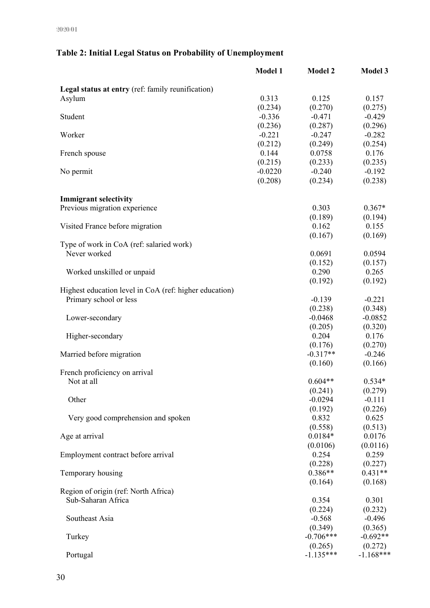# **Table 2: Initial Legal Status on Probability of Unemployment**

|                                                        | <b>Model 1</b> | <b>Model 2</b> | <b>Model 3</b> |
|--------------------------------------------------------|----------------|----------------|----------------|
| Legal status at entry (ref: family reunification)      |                |                |                |
| Asylum                                                 | 0.313          | 0.125          | 0.157          |
|                                                        | (0.234)        | (0.270)        | (0.275)        |
| Student                                                | $-0.336$       | $-0.471$       | $-0.429$       |
|                                                        | (0.236)        | (0.287)        | (0.296)        |
| Worker                                                 | $-0.221$       | $-0.247$       | $-0.282$       |
|                                                        | (0.212)        | (0.249)        | (0.254)        |
| French spouse                                          | 0.144          | 0.0758         | 0.176          |
|                                                        | (0.215)        | (0.233)        | (0.235)        |
| No permit                                              | $-0.0220$      | $-0.240$       | $-0.192$       |
|                                                        | (0.208)        | (0.234)        | (0.238)        |
|                                                        |                |                |                |
| <b>Immigrant selectivity</b>                           |                |                |                |
| Previous migration experience                          |                | 0.303          | $0.367*$       |
|                                                        |                | (0.189)        | (0.194)        |
| Visited France before migration                        |                | 0.162          | 0.155          |
|                                                        |                | (0.167)        | (0.169)        |
| Type of work in CoA (ref: salaried work)               |                |                |                |
| Never worked                                           |                | 0.0691         | 0.0594         |
|                                                        |                | (0.152)        | (0.157)        |
| Worked unskilled or unpaid                             |                | 0.290          | 0.265          |
|                                                        |                | (0.192)        | (0.192)        |
| Highest education level in CoA (ref: higher education) |                |                |                |
| Primary school or less                                 |                | $-0.139$       | $-0.221$       |
|                                                        |                | (0.238)        | (0.348)        |
| Lower-secondary                                        |                | $-0.0468$      | $-0.0852$      |
|                                                        |                | (0.205)        | (0.320)        |
| Higher-secondary                                       |                | 0.204          | 0.176          |
|                                                        |                | (0.176)        | (0.270)        |
| Married before migration                               |                | $-0.317**$     | $-0.246$       |
|                                                        |                | (0.160)        | (0.166)        |
| French proficiency on arrival                          |                |                |                |
| Not at all                                             |                | $0.604**$      | $0.534*$       |
|                                                        |                |                |                |
|                                                        |                | (0.241)        | (0.279)        |
| Other                                                  |                | $-0.0294$      | $-0.111$       |
|                                                        |                | (0.192)        | (0.226)        |
| Very good comprehension and spoken                     |                | 0.832          | 0.625          |
|                                                        |                | (0.558)        | (0.513)        |
| Age at arrival                                         |                | $0.0184*$      | 0.0176         |
|                                                        |                | (0.0106)       | (0.0116)       |
| Employment contract before arrival                     |                | 0.254          | 0.259          |
|                                                        |                | (0.228)        | (0.227)        |
| Temporary housing                                      |                | $0.386**$      | $0.431**$      |
|                                                        |                | (0.164)        | (0.168)        |
| Region of origin (ref: North Africa)                   |                |                |                |
| Sub-Saharan Africa                                     |                | 0.354          | 0.301          |
|                                                        |                | (0.224)        | (0.232)        |
| Southeast Asia                                         |                | $-0.568$       | $-0.496$       |
|                                                        |                | (0.349)        | (0.365)        |
| Turkey                                                 |                | $-0.706***$    | $-0.692**$     |
|                                                        |                | (0.265)        | (0.272)        |
| Portugal                                               |                | $-1.135***$    | $-1.168***$    |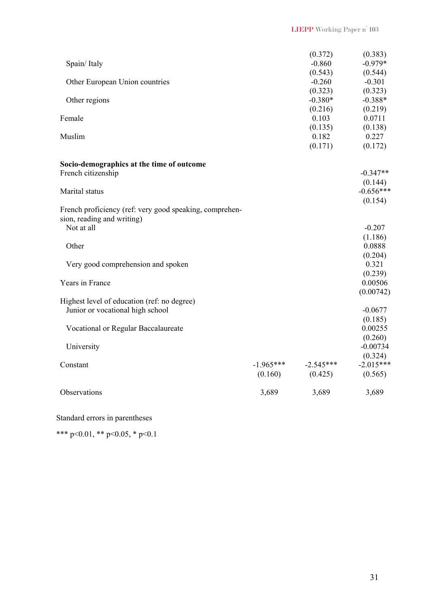|                                                         |             | (0.372)     | (0.383)                |
|---------------------------------------------------------|-------------|-------------|------------------------|
| Spain/Italy                                             |             | $-0.860$    | $-0.979*$              |
|                                                         |             | (0.543)     | (0.544)                |
| Other European Union countries                          |             | $-0.260$    | $-0.301$               |
|                                                         |             | (0.323)     | (0.323)                |
| Other regions                                           |             | $-0.380*$   | $-0.388*$              |
|                                                         |             | (0.216)     | (0.219)                |
| Female                                                  |             | 0.103       | 0.0711                 |
|                                                         |             | (0.135)     | (0.138)                |
| Muslim                                                  |             | 0.182       | 0.227                  |
|                                                         |             | (0.171)     | (0.172)                |
| Socio-demographics at the time of outcome               |             |             |                        |
| French citizenship                                      |             |             | $-0.347**$             |
|                                                         |             |             | (0.144)                |
| Marital status                                          |             |             | $-0.656***$            |
|                                                         |             |             | (0.154)                |
| French proficiency (ref: very good speaking, comprehen- |             |             |                        |
| sion, reading and writing)                              |             |             |                        |
| Not at all                                              |             |             | $-0.207$               |
|                                                         |             |             | (1.186)                |
| Other                                                   |             |             | 0.0888                 |
|                                                         |             |             | (0.204)                |
| Very good comprehension and spoken                      |             |             | 0.321                  |
|                                                         |             |             | (0.239)                |
| Years in France                                         |             |             | 0.00506                |
|                                                         |             |             | (0.00742)              |
| Highest level of education (ref: no degree)             |             |             |                        |
| Junior or vocational high school                        |             |             | $-0.0677$              |
|                                                         |             |             | (0.185)                |
| Vocational or Regular Baccalaureate                     |             |             | 0.00255                |
|                                                         |             |             | (0.260)                |
| University                                              |             |             | $-0.00734$             |
|                                                         | $-1.965***$ | $-2.545***$ | (0.324)<br>$-2.015***$ |
| Constant                                                | (0.160)     | (0.425)     | (0.565)                |
|                                                         |             |             |                        |
| Observations                                            | 3,689       | 3,689       | 3,689                  |
|                                                         |             |             |                        |

Standard errors in parentheses

\*\*\* p<0.01, \*\* p<0.05, \* p<0.1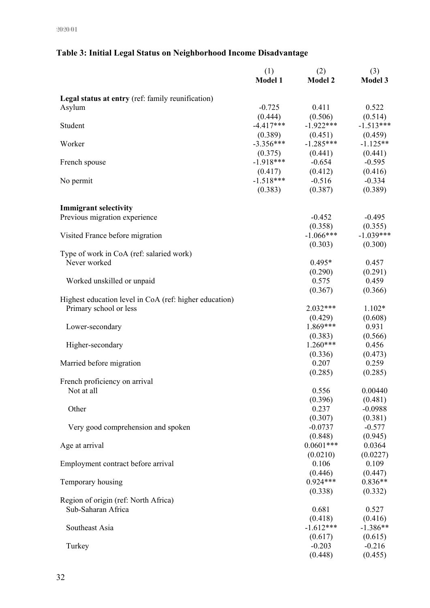#### (1)  $(2)$   $(3)$ **Model 1 Model 2 Model 3 Legal status at entry** (ref: family reunification) Asylum 1.522  $(0.444)$   $(0.506)$   $(0.514)$ Student -4.417\*\*\* -1.922\*\*\* -1.513\*\*\*  $(0.389)$   $(0.451)$   $(0.459)$ Worker -3.356\*\*\* -1.285\*\*\* -1.125\*\*  $(0.375)$   $(0.441)$   $(0.441)$ French spouse  $-1.918***$   $-0.654$   $-0.595$  $(0.417)$   $(0.412)$   $(0.416)$ No permit -1.518\*\*\* -0.516 -0.334  $(0.383)$   $(0.387)$   $(0.389)$ **Immigrant selectivity**  Previous migration experience -0.452 -0.495  $(0.358)$   $(0.355)$ Visited France before migration  $-1.066***$  -1.039\*\*\*  $(0.303)$   $(0.300)$ Type of work in CoA (ref: salaried work) Never worked 0.495\* 0.457  $(0.290)$   $(0.291)$ Worked unskilled or unpaid 0.575 0.459  $(0.367)$   $(0.366)$ Highest education level in CoA (ref: higher education) Primary school or less 2.032\*\*\* 1.102\*  $(0.429)$   $(0.608)$ Lower-secondary 1.869\*\*\* 0.931  $(0.383)$   $(0.566)$ Higher-secondary 1.260\*\*\* 0.456  $(0.336)$   $(0.473)$ Married before migration  $0.207$  0.259  $(0.285)$   $(0.285)$ French proficiency on arrival Not at all 0.556 0.00440  $(0.396)$   $(0.481)$ Other 0.237 -0.0988  $(0.307)$   $(0.381)$ Very good comprehension and spoken -0.0737 -0.577 -0.577  $(0.848)$   $(0.945)$ Age at arrival 0.0601\*\*\* 0.0364  $(0.0210)$   $(0.0227)$ Employment contract before arrival 0.106 0.109  $(0.446)$   $(0.447)$ Temporary housing 0.924\*\*\* 0.836\*\*  $(0.338)$   $(0.332)$ Region of origin (ref: North Africa) Sub-Saharan Africa 0.527  $(0.418)$   $(0.416)$ Southeast Asia -1.612\*\*\* -1.386\*\*  $(0.617)$   $(0.615)$ Turkey -0.203 -0.216  $(0.448)$   $(0.455)$

#### **Table 3: Initial Legal Status on Neighborhood Income Disadvantage**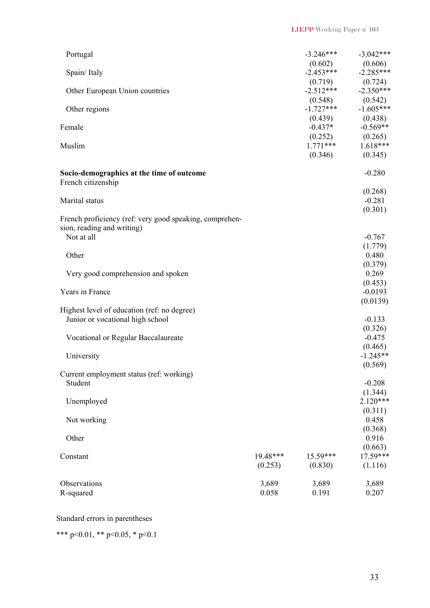| Portugal                                                                              |          | $-3.246***$                                | $-3.042***$                                            |
|---------------------------------------------------------------------------------------|----------|--------------------------------------------|--------------------------------------------------------|
| Spain/Italy                                                                           |          | $(0.602)$ $(0.606)$<br>-2.453*** -2.285*** | $-2.285***$<br>(0.724)                                 |
| Other European Union countries                                                        |          | $(0.719)$<br>-2.512***<br>(0.548)          | $-2.350***$<br>(0.542)                                 |
| Other regions                                                                         |          | $-1.727***$                                | $-1.605***$<br>$(0.439)$ $(0.438)$<br>-0.437* -0.569** |
| Female                                                                                |          |                                            | $-0.569**$<br>$(0.252)$ $(0.265)$<br>1.771*** 1.618*** |
| Muslim                                                                                |          | (0.346)                                    | $1.618***$<br>(0.345)                                  |
| Socio-demographics at the time of outcome<br>French citizenship                       |          |                                            | $-0.280$                                               |
|                                                                                       |          |                                            | (0.268)                                                |
| Marital status                                                                        |          |                                            | $-0.281$                                               |
|                                                                                       |          |                                            | (0.301)                                                |
| French proficiency (ref: very good speaking, comprehen-<br>sion, reading and writing) |          |                                            |                                                        |
| Not at all                                                                            |          |                                            | $-0.767$                                               |
|                                                                                       |          |                                            | (1.779)                                                |
| Other                                                                                 |          |                                            | 0.480                                                  |
|                                                                                       |          |                                            | (0.379)                                                |
| Very good comprehension and spoken                                                    |          |                                            | 0.269                                                  |
|                                                                                       |          |                                            | (0.453)                                                |
| Years in France                                                                       |          |                                            | $-0.0193$<br>(0.0139)                                  |
| Highest level of education (ref: no degree)<br>Junior or vocational high school       |          |                                            | $-0.133$                                               |
|                                                                                       |          |                                            | (0.326)                                                |
| Vocational or Regular Baccalaureate                                                   |          |                                            | $-0.475$                                               |
|                                                                                       |          |                                            | (0.465)                                                |
| University                                                                            |          |                                            | $-1.245**$                                             |
|                                                                                       |          |                                            | (0.569)                                                |
| Current employment status (ref: working)<br>Student                                   |          |                                            | $-0.208$                                               |
|                                                                                       |          |                                            | (1.344)                                                |
| Unemployed                                                                            |          |                                            | $2.120***$                                             |
|                                                                                       |          |                                            | (0.311)                                                |
| Not working                                                                           |          |                                            | 0.458                                                  |
|                                                                                       |          |                                            | (0.368)                                                |
| Other                                                                                 |          |                                            | 0.916                                                  |
|                                                                                       |          |                                            | (0.663)                                                |
| Constant                                                                              | 19.48*** | 15.59***                                   | 17.59***                                               |
|                                                                                       | (0.253)  | (0.830)                                    | (1.116)                                                |
| Observations                                                                          | 3,689    | 3,689                                      | 3,689                                                  |
| R-squared                                                                             | 0.058    | 0.191                                      | 0.207                                                  |
|                                                                                       |          |                                            |                                                        |

## Standard errors in parentheses

\*\*\* p<0.01, \*\* p<0.05, \* p<0.1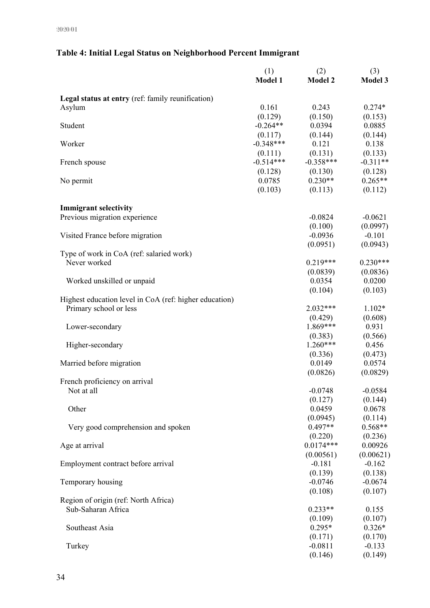#### (1)  $(2)$   $(3)$ **Model 1 Model 2 Model 3 Legal status at entry** (ref: family reunification) Asylum 0.161 0.243 0.274\*  $(0.129)$   $(0.150)$   $(0.153)$ Student 6.0394 0.0885  $(0.117)$   $(0.144)$   $(0.144)$ Worker -0.348\*\*\* 0.121 0.138  $(0.111)$   $(0.131)$   $(0.133)$ French spouse -0.514\*\*\* -0.358\*\*\* -0.311\*\*  $(0.128)$   $(0.130)$   $(0.128)$ No permit  $0.0785$   $0.230**$   $0.265**$  $(0.103)$   $(0.113)$   $(0.112)$ **Immigrant selectivity**  Previous migration experience -0.0824 -0.0621  $(0.100)$   $(0.0997)$ Visited France before migration  $-0.0936$  -0.101  $(0.0951)$   $(0.0943)$ Type of work in CoA (ref: salaried work) Never worked 0.219\*\*\* 0.230\*\*\*  $(0.0839)$   $(0.0836)$ Worked unskilled or unpaid 0.0200 0.0354 0.0200  $(0.104)$   $(0.103)$ Highest education level in CoA (ref: higher education) Primary school or less 2.032\*\*\* 1.102\*  $(0.429)$   $(0.608)$ Lower-secondary 1.869\*\*\* 0.931  $(0.383)$   $(0.566)$ Higher-secondary 1.260\*\*\* 0.456  $(0.336)$   $(0.473)$ Married before migration  $0.0149$  0.0574  $(0.0826)$   $(0.0829)$ French proficiency on arrival Not at all  $-0.0748$  -0.0584  $(0.127)$   $(0.144)$ Other 0.0459 0.0678  $(0.0945)$   $(0.114)$ Very good comprehension and spoken 0.497<sup>\*\*</sup> 0.568<sup>\*\*</sup>  $(0.220)$   $(0.236)$ Age at arrival 0.00926  $(0.00561)$   $(0.00621)$ Employment contract before arrival  $-0.181$  -0.162  $(0.139)$   $(0.138)$ Temporary housing  $-0.0746$  -0.0674  $(0.108)$   $(0.107)$ Region of origin (ref: North Africa) Sub-Saharan Africa 0.233<sup>\*\*</sup> 0.155  $(0.109)$   $(0.107)$ Southeast Asia  $0.295^*$  0.326\* 0.326\*  $(0.171)$   $(0.170)$ Turkey -0.0811 -0.133  $(0.146)$   $(0.149)$

#### **Table 4: Initial Legal Status on Neighborhood Percent Immigrant**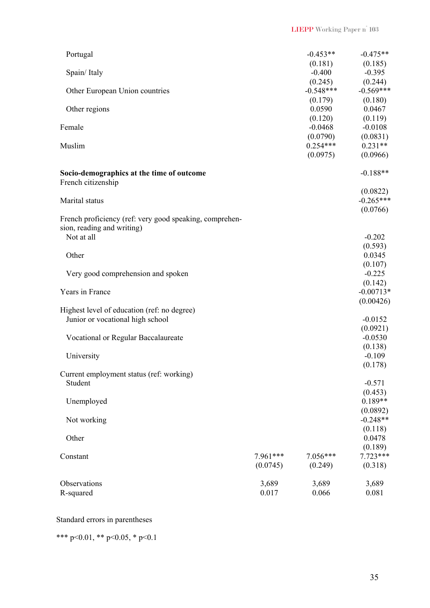| Portugal                                                                                            |                      | $-0.453**$<br>(0.181)  | $-0.475**$<br>(0.185)               |
|-----------------------------------------------------------------------------------------------------|----------------------|------------------------|-------------------------------------|
| Spain/Italy                                                                                         |                      | $-0.400$<br>(0.245)    | $-0.395$<br>(0.244)                 |
| Other European Union countries                                                                      |                      | $-0.548***$<br>(0.179) | $-0.569***$<br>(0.180)              |
| Other regions                                                                                       |                      | 0.0590<br>(0.120)      | 0.0467<br>(0.119)                   |
| Female                                                                                              |                      | $-0.0468$<br>(0.0790)  | $-0.0108$<br>(0.0831)               |
| Muslim                                                                                              |                      | $0.254***$<br>(0.0975) | $0.231**$<br>(0.0966)               |
| Socio-demographics at the time of outcome<br>French citizenship                                     |                      |                        | $-0.188**$                          |
| Marital status                                                                                      |                      |                        | (0.0822)<br>$-0.265***$<br>(0.0766) |
| French proficiency (ref: very good speaking, comprehen-<br>sion, reading and writing)<br>Not at all |                      |                        | $-0.202$                            |
| Other                                                                                               |                      |                        | (0.593)<br>0.0345                   |
| Very good comprehension and spoken                                                                  |                      |                        | (0.107)<br>$-0.225$<br>(0.142)      |
| Years in France                                                                                     |                      |                        | $-0.00713*$<br>(0.00426)            |
| Highest level of education (ref: no degree)<br>Junior or vocational high school                     |                      |                        | $-0.0152$                           |
| Vocational or Regular Baccalaureate                                                                 |                      |                        | (0.0921)<br>$-0.0530$               |
| University                                                                                          |                      |                        | (0.138)<br>$-0.109$<br>(0.178)      |
| Current employment status (ref: working)<br>Student                                                 |                      |                        | $-0.571$                            |
| Unemployed                                                                                          |                      |                        | (0.453)<br>$0.189**$<br>(0.0892)    |
| Not working                                                                                         |                      |                        | $-0.248**$<br>(0.118)               |
| Other                                                                                               |                      |                        | 0.0478<br>(0.189)                   |
| Constant                                                                                            | 7.961***<br>(0.0745) | $7.056***$<br>(0.249)  | $7.723***$<br>(0.318)               |
| Observations<br>R-squared                                                                           | 3,689<br>0.017       | 3,689<br>0.066         | 3,689<br>0.081                      |

Standard errors in parentheses

\*\*\* p<0.01, \*\* p<0.05, \* p<0.1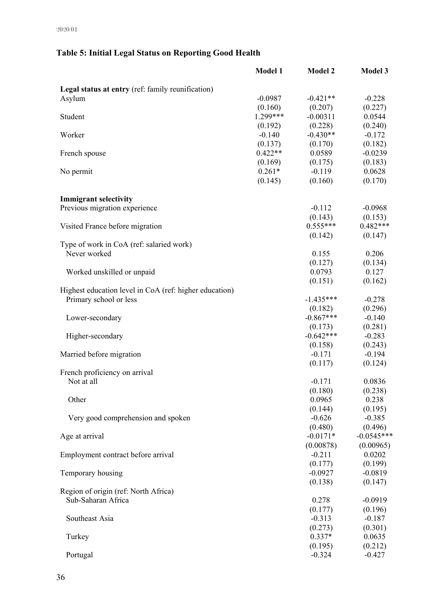# **Table 5: Initial Legal Status on Reporting Good Health**

|                                                        | <b>Model 1</b> | <b>Model 2</b> | <b>Model 3</b> |
|--------------------------------------------------------|----------------|----------------|----------------|
| Legal status at entry (ref: family reunification)      |                |                |                |
| Asylum                                                 | $-0.0987$      | $-0.421**$     | $-0.228$       |
|                                                        | (0.160)        | (0.207)        | (0.227)        |
| Student                                                | $1.299***$     | $-0.00311$     | 0.0544         |
|                                                        | (0.192)        | (0.228)        | (0.240)        |
| Worker                                                 | $-0.140$       | $-0.430**$     | $-0.172$       |
|                                                        | (0.137)        | (0.170)        | (0.182)        |
| French spouse                                          | $0.422**$      | 0.0589         | $-0.0239$      |
|                                                        | (0.169)        | (0.175)        | (0.183)        |
| No permit                                              | $0.261*$       | $-0.119$       | 0.0628         |
|                                                        | (0.145)        | (0.160)        | (0.170)        |
|                                                        |                |                |                |
| <b>Immigrant selectivity</b>                           |                |                |                |
| Previous migration experience                          |                | $-0.112$       | $-0.0968$      |
|                                                        |                | (0.143)        | (0.153)        |
| Visited France before migration                        |                | $0.555***$     | $0.482***$     |
|                                                        |                | (0.142)        | (0.147)        |
| Type of work in CoA (ref: salaried work)               |                |                |                |
| Never worked                                           |                | 0.155          | 0.206          |
|                                                        |                | (0.127)        | (0.134)        |
| Worked unskilled or unpaid                             |                | 0.0793         | 0.127          |
|                                                        |                | (0.151)        | (0.162)        |
| Highest education level in CoA (ref: higher education) |                |                |                |
| Primary school or less                                 |                | $-1.435***$    | $-0.278$       |
|                                                        |                | (0.182)        | (0.296)        |
| Lower-secondary                                        |                | $-0.867***$    | $-0.140$       |
|                                                        |                | (0.173)        | (0.281)        |
| Higher-secondary                                       |                | $-0.642***$    | $-0.283$       |
|                                                        |                | (0.158)        | (0.243)        |
| Married before migration                               |                | $-0.171$       | $-0.194$       |
|                                                        |                | (0.117)        | (0.124)        |
| French proficiency on arrival                          |                |                |                |
| Not at all                                             |                | $-0.171$       | 0.0836         |
|                                                        |                | (0.180)        | (0.238)        |
| Other                                                  |                | 0.0965         | 0.238          |
|                                                        |                | (0.144)        | (0.195)        |
| Very good comprehension and spoken                     |                | $-0.626$       | $-0.385$       |
|                                                        |                | (0.480)        | (0.496)        |
| Age at arrival                                         |                | $-0.0171*$     | $-0.0545***$   |
|                                                        |                | (0.00878)      | (0.00965)      |
| Employment contract before arrival                     |                | $-0.211$       | 0.0202         |
|                                                        |                | (0.177)        | (0.199)        |
| Temporary housing                                      |                | $-0.0927$      | $-0.0819$      |
|                                                        |                | (0.138)        | (0.147)        |
| Region of origin (ref: North Africa)                   |                |                |                |
| Sub-Saharan Africa                                     |                | 0.278          | $-0.0919$      |
|                                                        |                | (0.177)        | (0.196)        |
| Southeast Asia                                         |                | $-0.313$       | $-0.187$       |
|                                                        |                | (0.273)        | (0.301)        |
| Turkey                                                 |                | $0.337*$       | 0.0635         |
|                                                        |                | (0.195)        | (0.212)        |
| Portugal                                               |                | $-0.324$       | $-0.427$       |
|                                                        |                |                |                |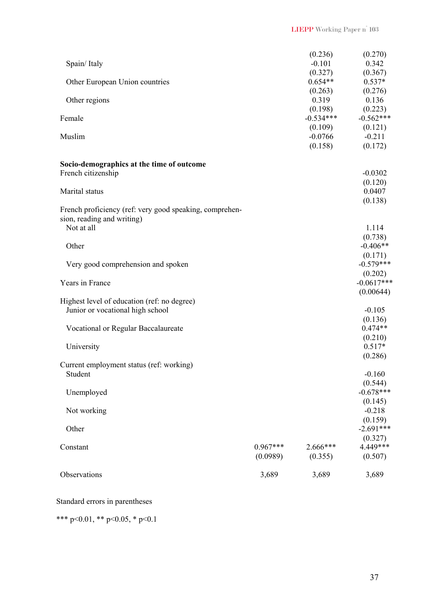| Spain/Italy                                                                                         |                        | (0.236)<br>$-0.101$             | (0.270)<br>0.342                  |
|-----------------------------------------------------------------------------------------------------|------------------------|---------------------------------|-----------------------------------|
| Other European Union countries                                                                      |                        | (0.327)<br>$0.654**$<br>(0.263) | (0.367)<br>$0.537*$<br>(0.276)    |
| Other regions                                                                                       |                        | 0.319<br>(0.198)                | 0.136<br>(0.223)                  |
| Female                                                                                              |                        | $-0.534***$<br>(0.109)          | $-0.562***$<br>(0.121)            |
| Muslim                                                                                              |                        | $-0.0766$<br>(0.158)            | $-0.211$<br>(0.172)               |
| Socio-demographics at the time of outcome<br>French citizenship                                     |                        |                                 | $-0.0302$                         |
| Marital status                                                                                      |                        |                                 | (0.120)<br>0.0407<br>(0.138)      |
| French proficiency (ref: very good speaking, comprehen-<br>sion, reading and writing)<br>Not at all |                        |                                 | 1.114                             |
| Other                                                                                               |                        |                                 | (0.738)<br>$-0.406**$             |
| Very good comprehension and spoken                                                                  |                        |                                 | (0.171)<br>$-0.579***$<br>(0.202) |
| Years in France                                                                                     |                        |                                 | $-0.0617***$<br>(0.00644)         |
| Highest level of education (ref: no degree)<br>Junior or vocational high school                     |                        |                                 | $-0.105$                          |
| Vocational or Regular Baccalaureate                                                                 |                        |                                 | (0.136)<br>$0.474**$<br>(0.210)   |
| University                                                                                          |                        |                                 | $0.517*$<br>(0.286)               |
| Current employment status (ref: working)<br>Student                                                 |                        |                                 | $-0.160$<br>(0.544)               |
| Unemployed                                                                                          |                        |                                 | $-0.678***$<br>(0.145)            |
| Not working                                                                                         |                        |                                 | $-0.218$<br>(0.159)               |
| Other                                                                                               |                        |                                 | $-2.691***$<br>(0.327)            |
| Constant                                                                                            | $0.967***$<br>(0.0989) | 2.666***<br>(0.355)             | 4.449***<br>(0.507)               |
| Observations                                                                                        | 3,689                  | 3,689                           | 3,689                             |

#### Standard errors in parentheses

\*\*\* p<0.01, \*\* p<0.05, \* p<0.1